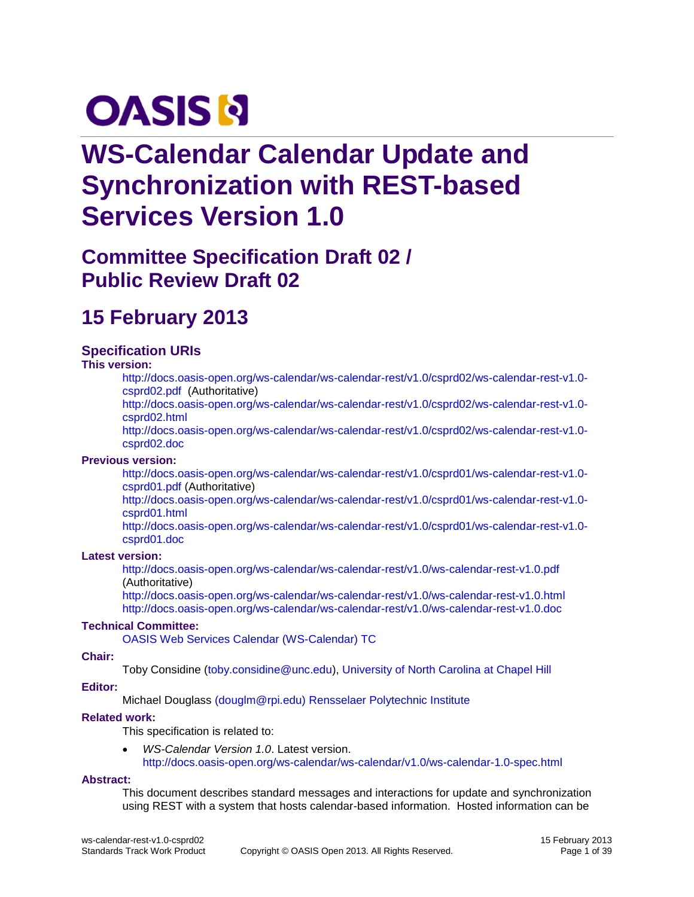# **OASIS N**

# **WS-Calendar Calendar Update and Synchronization with REST-based Services Version 1.0**

# **Committee Specification Draft 02 / Public Review Draft 02**

# **15 February 2013**

#### **Specification URIs**

#### **This version:**

[http://docs.oasis-open.org/ws-calendar/ws-calendar-rest/v1.0/csprd02/ws-calendar-rest-v1.0](http://docs.oasis-open.org/ws-calendar/ws-calendar-rest/v1.0/csprd02/ws-calendar-rest-v1.0-csprd02.pdf) [csprd02.pdf](http://docs.oasis-open.org/ws-calendar/ws-calendar-rest/v1.0/csprd02/ws-calendar-rest-v1.0-csprd02.pdf) (Authoritative)

[http://docs.oasis-open.org/ws-calendar/ws-calendar-rest/v1.0/csprd02/ws-calendar-rest-v1.0](http://docs.oasis-open.org/ws-calendar/ws-calendar-rest/v1.0/csprd02/ws-calendar-rest-v1.0-csprd02.html) [csprd02.html](http://docs.oasis-open.org/ws-calendar/ws-calendar-rest/v1.0/csprd02/ws-calendar-rest-v1.0-csprd02.html)

[http://docs.oasis-open.org/ws-calendar/ws-calendar-rest/v1.0/csprd02/ws-calendar-rest-v1.0](http://docs.oasis-open.org/ws-calendar/ws-calendar-rest/v1.0/csprd02/ws-calendar-rest-v1.0-csprd02.doc) [csprd02.doc](http://docs.oasis-open.org/ws-calendar/ws-calendar-rest/v1.0/csprd02/ws-calendar-rest-v1.0-csprd02.doc)

#### **Previous version:**

[http://docs.oasis-open.org/ws-calendar/ws-calendar-rest/v1.0/csprd01/ws-calendar-rest-v1.0](http://docs.oasis-open.org/ws-calendar/ws-calendar-rest/v1.0/csprd01/ws-calendar-rest-v1.0-csprd01.pdf) [csprd01.pdf](http://docs.oasis-open.org/ws-calendar/ws-calendar-rest/v1.0/csprd01/ws-calendar-rest-v1.0-csprd01.pdf) (Authoritative)

[http://docs.oasis-open.org/ws-calendar/ws-calendar-rest/v1.0/csprd01/ws-calendar-rest-v1.0](http://docs.oasis-open.org/ws-calendar/ws-calendar-rest/v1.0/csprd01/ws-calendar-rest-v1.0-csprd01.html) [csprd01.html](http://docs.oasis-open.org/ws-calendar/ws-calendar-rest/v1.0/csprd01/ws-calendar-rest-v1.0-csprd01.html)

[http://docs.oasis-open.org/ws-calendar/ws-calendar-rest/v1.0/csprd01/ws-calendar-rest-v1.0](http://docs.oasis-open.org/ws-calendar/ws-calendar-rest/v1.0/csprd01/ws-calendar-rest-v1.0-csprd01.doc) [csprd01.doc](http://docs.oasis-open.org/ws-calendar/ws-calendar-rest/v1.0/csprd01/ws-calendar-rest-v1.0-csprd01.doc)

#### **Latest version:**

<http://docs.oasis-open.org/ws-calendar/ws-calendar-rest/v1.0/ws-calendar-rest-v1.0.pdf> (Authoritative)

<http://docs.oasis-open.org/ws-calendar/ws-calendar-rest/v1.0/ws-calendar-rest-v1.0.html> <http://docs.oasis-open.org/ws-calendar/ws-calendar-rest/v1.0/ws-calendar-rest-v1.0.doc>

#### **Technical Committee:**

[OASIS Web Services Calendar \(WS-Calendar\) TC](http://www.oasis-open.org/committees/ws-calendar/)

#### **Chair:**

Toby Considine [\(toby.considine@unc.edu\)](mailto:toby.considine@unc.edu), [University of North Carolina at Chapel Hill](http://www.unc.edu/)

#### **Editor:**

Michael Douglass [\(douglm@rpi.edu\)](mailto:douglm@rpi.edu) [Rensselaer Polytechnic Institute](http://www.rpi.edu/)

#### **Related work:**

This specification is related to:

 *WS-Calendar Version 1.0*. Latest version. <http://docs.oasis-open.org/ws-calendar/ws-calendar/v1.0/ws-calendar-1.0-spec.html>

#### **Abstract:**

This document describes standard messages and interactions for update and synchronization using REST with a system that hosts calendar-based information. Hosted information can be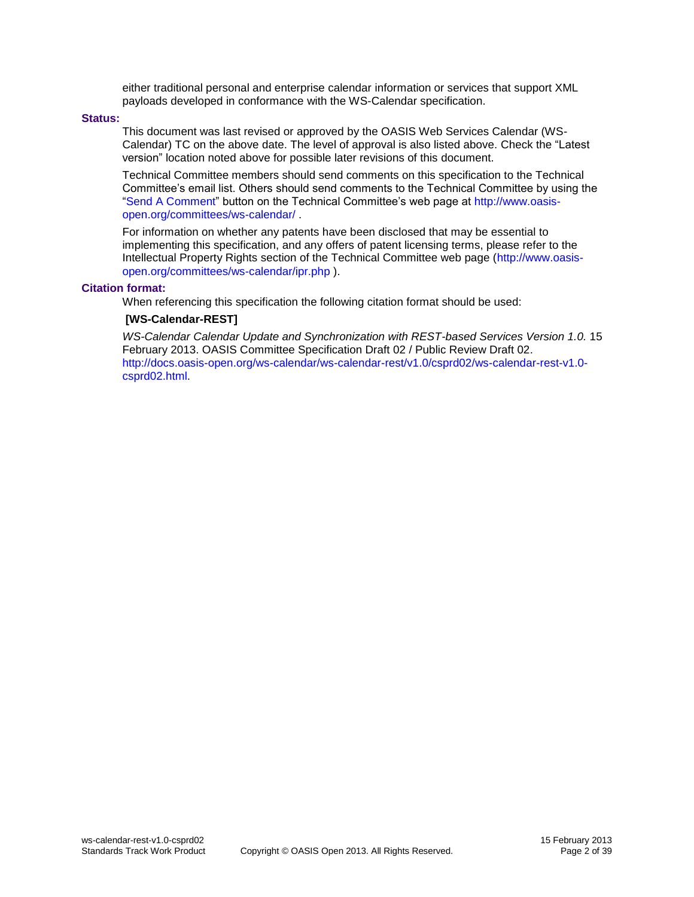either traditional personal and enterprise calendar information or services that support XML payloads developed in conformance with the WS-Calendar specification.

#### **Status:**

This document was last revised or approved by the OASIS Web Services Calendar (WS-Calendar) TC on the above date. The level of approval is also listed above. Check the "Latest version" location noted above for possible later revisions of this document.

Technical Committee members should send comments on this specification to the Technical Committee's email list. Others should send comments to the Technical Committee by using the ["Send A Comment"](http://www.oasis-open.org/committees/comments/index.php?wg_abbrev=ws-calendar) button on the Technical Committee's web page at [http://www.oasis](http://www.oasis-open.org/committees/ws-calendar/)[open.org/committees/ws-calendar/](http://www.oasis-open.org/committees/ws-calendar/) .

For information on whether any patents have been disclosed that may be essential to implementing this specification, and any offers of patent licensing terms, please refer to the Intellectual Property Rights section of the Technical Committee web page [\(http://www.oasis](http://www.oasis-open.org/committees/ws-calendar/ipr.php)[open.org/committees/ws-calendar/ipr.php](http://www.oasis-open.org/committees/ws-calendar/ipr.php) ).

#### **Citation format:**

When referencing this specification the following citation format should be used:

#### **[WS-Calendar-REST]**

*WS-Calendar Calendar Update and Synchronization with REST-based Services Version 1.0.* 15 February 2013. OASIS Committee Specification Draft 02 / Public Review Draft 02. [http://docs.oasis-open.org/ws-calendar/ws-calendar-rest/v1.0/csprd02/ws-calendar-rest-v1.0](http://docs.oasis-open.org/ws-calendar/ws-calendar-rest/v1.0/csprd02/ws-calendar-rest-v1.0-csprd02.html) [csprd02.html.](http://docs.oasis-open.org/ws-calendar/ws-calendar-rest/v1.0/csprd02/ws-calendar-rest-v1.0-csprd02.html)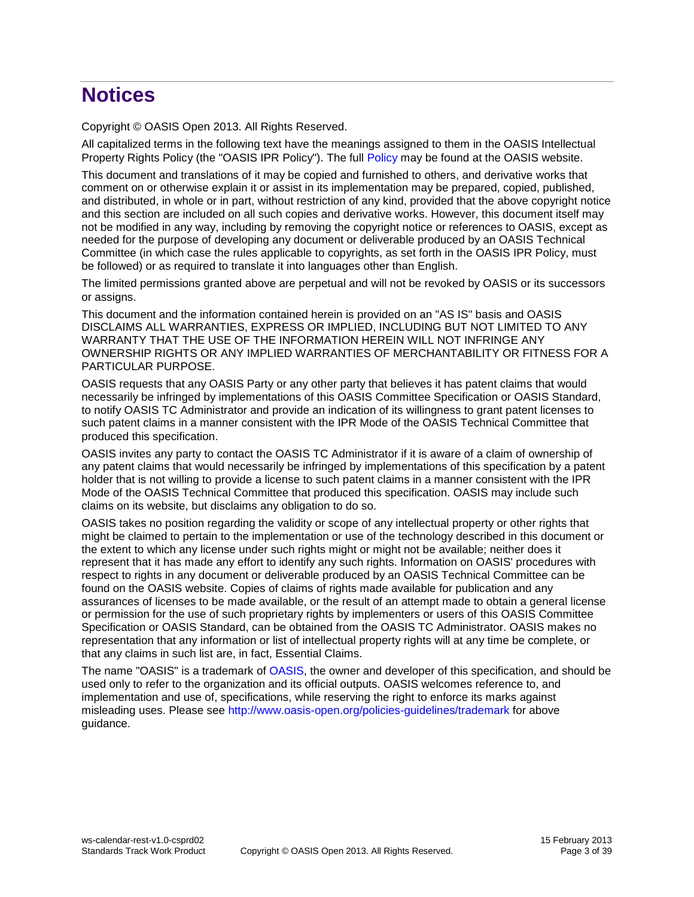# **Notices**

Copyright © OASIS Open 2013. All Rights Reserved.

All capitalized terms in the following text have the meanings assigned to them in the OASIS Intellectual Property Rights Policy (the "OASIS IPR Policy"). The full [Policy](http://www.oasis-open.org/policies-guidelines/ipr) may be found at the OASIS website.

This document and translations of it may be copied and furnished to others, and derivative works that comment on or otherwise explain it or assist in its implementation may be prepared, copied, published, and distributed, in whole or in part, without restriction of any kind, provided that the above copyright notice and this section are included on all such copies and derivative works. However, this document itself may not be modified in any way, including by removing the copyright notice or references to OASIS, except as needed for the purpose of developing any document or deliverable produced by an OASIS Technical Committee (in which case the rules applicable to copyrights, as set forth in the OASIS IPR Policy, must be followed) or as required to translate it into languages other than English.

The limited permissions granted above are perpetual and will not be revoked by OASIS or its successors or assigns.

This document and the information contained herein is provided on an "AS IS" basis and OASIS DISCLAIMS ALL WARRANTIES, EXPRESS OR IMPLIED, INCLUDING BUT NOT LIMITED TO ANY WARRANTY THAT THE USE OF THE INFORMATION HEREIN WILL NOT INFRINGE ANY OWNERSHIP RIGHTS OR ANY IMPLIED WARRANTIES OF MERCHANTABILITY OR FITNESS FOR A PARTICULAR PURPOSE.

OASIS requests that any OASIS Party or any other party that believes it has patent claims that would necessarily be infringed by implementations of this OASIS Committee Specification or OASIS Standard, to notify OASIS TC Administrator and provide an indication of its willingness to grant patent licenses to such patent claims in a manner consistent with the IPR Mode of the OASIS Technical Committee that produced this specification.

OASIS invites any party to contact the OASIS TC Administrator if it is aware of a claim of ownership of any patent claims that would necessarily be infringed by implementations of this specification by a patent holder that is not willing to provide a license to such patent claims in a manner consistent with the IPR Mode of the OASIS Technical Committee that produced this specification. OASIS may include such claims on its website, but disclaims any obligation to do so.

OASIS takes no position regarding the validity or scope of any intellectual property or other rights that might be claimed to pertain to the implementation or use of the technology described in this document or the extent to which any license under such rights might or might not be available; neither does it represent that it has made any effort to identify any such rights. Information on OASIS' procedures with respect to rights in any document or deliverable produced by an OASIS Technical Committee can be found on the OASIS website. Copies of claims of rights made available for publication and any assurances of licenses to be made available, or the result of an attempt made to obtain a general license or permission for the use of such proprietary rights by implementers or users of this OASIS Committee Specification or OASIS Standard, can be obtained from the OASIS TC Administrator. OASIS makes no representation that any information or list of intellectual property rights will at any time be complete, or that any claims in such list are, in fact, Essential Claims.

The name "OASIS" is a trademark of [OASIS,](http://www.oasis-open.org/) the owner and developer of this specification, and should be used only to refer to the organization and its official outputs. OASIS welcomes reference to, and implementation and use of, specifications, while reserving the right to enforce its marks against misleading uses. Please see<http://www.oasis-open.org/policies-guidelines/trademark> for above guidance.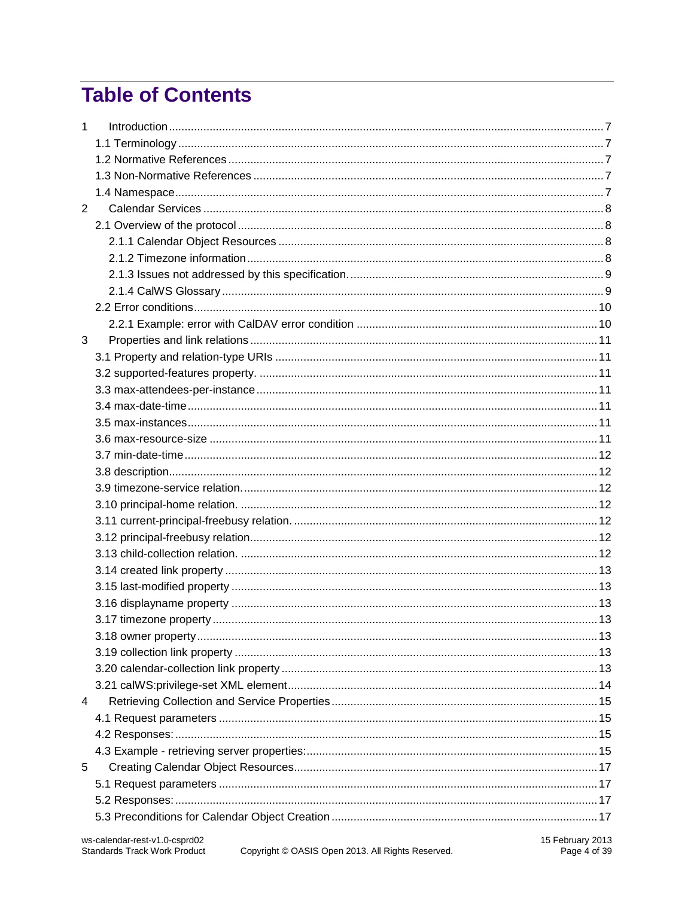# **Table of Contents**

| $\mathbf{1}$ |  |
|--------------|--|
|              |  |
|              |  |
|              |  |
|              |  |
| 2            |  |
|              |  |
|              |  |
|              |  |
|              |  |
|              |  |
|              |  |
|              |  |
| 3            |  |
|              |  |
|              |  |
|              |  |
|              |  |
|              |  |
|              |  |
|              |  |
|              |  |
|              |  |
|              |  |
|              |  |
|              |  |
|              |  |
|              |  |
|              |  |
|              |  |
|              |  |
|              |  |
|              |  |
|              |  |
|              |  |
| 4            |  |
|              |  |
|              |  |
|              |  |
| 5            |  |
|              |  |
|              |  |
|              |  |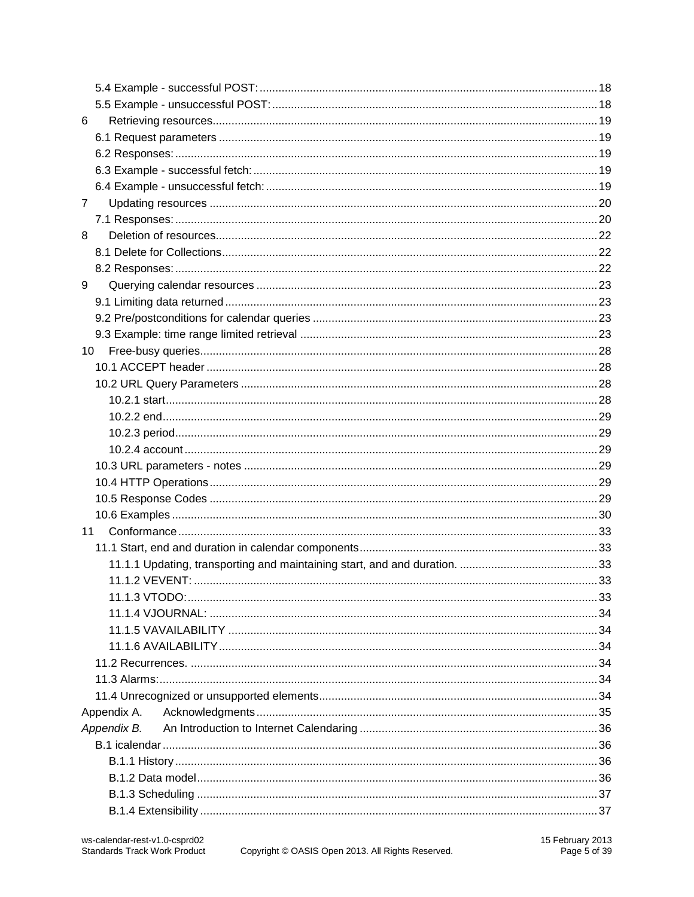| 6               |  |
|-----------------|--|
|                 |  |
|                 |  |
|                 |  |
|                 |  |
| 7               |  |
|                 |  |
| 8               |  |
|                 |  |
|                 |  |
| 9               |  |
|                 |  |
|                 |  |
|                 |  |
| 10 <sup>°</sup> |  |
|                 |  |
|                 |  |
|                 |  |
|                 |  |
|                 |  |
|                 |  |
|                 |  |
|                 |  |
|                 |  |
|                 |  |
| 11              |  |
|                 |  |
|                 |  |
|                 |  |
|                 |  |
|                 |  |
|                 |  |
|                 |  |
|                 |  |
|                 |  |
|                 |  |
| Appendix A.     |  |
| Appendix B.     |  |
|                 |  |
|                 |  |
|                 |  |
|                 |  |
|                 |  |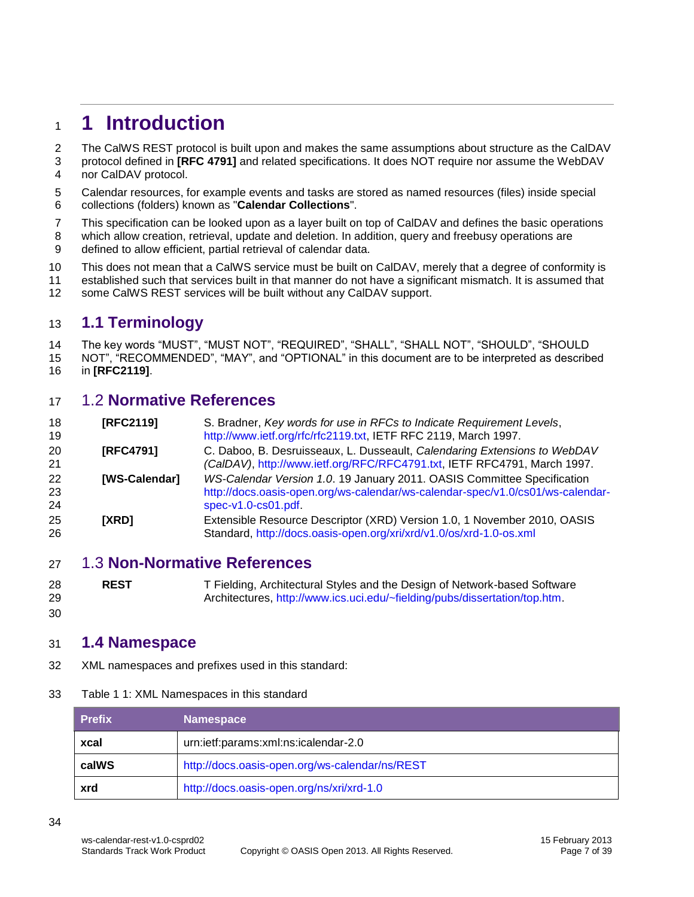# <span id="page-6-0"></span>**1 Introduction**

2 The CalWS REST protocol is built upon and makes the same assumptions about structure as the CalDAV

- protocol defined in **[RFC 4791]** and related specifications. It does NOT require nor assume the WebDAV nor CalDAV protocol.
- Calendar resources, for example events and tasks are stored as named resources (files) inside special collections (folders) known as "**Calendar Collections**".
- This specification can be looked upon as a layer built on top of CalDAV and defines the basic operations
- which allow creation, retrieval, update and deletion. In addition, query and freebusy operations are defined to allow efficient, partial retrieval of calendar data.
- This does not mean that a CalWS service must be built on CalDAV, merely that a degree of conformity is
- established such that services built in that manner do not have a significant mismatch. It is assumed that
- some CalWS REST services will be built without any CalDAV support.

#### <span id="page-6-1"></span>**1.1 Terminology**

The key words "MUST", "MUST NOT", "REQUIRED", "SHALL", "SHALL NOT", "SHOULD", "SHOULD

 NOT", "RECOMMENDED", "MAY", and "OPTIONAL" in this document are to be interpreted as described in **[\[RFC2119\]](#page-6-5)**.

#### <span id="page-6-2"></span>1.2 **Normative References**

<span id="page-6-5"></span>

| 18<br>19       | [RFC2119]        | S. Bradner, Key words for use in RFCs to Indicate Requirement Levels,<br>http://www.ietf.org/rfc/rfc2119.txt, IETF RFC 2119, March 1997.                                            |
|----------------|------------------|-------------------------------------------------------------------------------------------------------------------------------------------------------------------------------------|
| 20<br>21       | <b>IRFC47911</b> | C. Daboo, B. Desruisseaux, L. Dusseault, Calendaring Extensions to WebDAV<br>(CalDAV), http://www.ietf.org/RFC/RFC4791.txt, IETF RFC4791, March 1997.                               |
| 22<br>23<br>24 | [WS-Calendar]    | WS-Calendar Version 1.0. 19 January 2011. OASIS Committee Specification<br>http://docs.oasis-open.org/ws-calendar/ws-calendar-spec/v1.0/cs01/ws-calendar-<br>$spec-v1.0-cs01.pdf$ . |
| 25<br>26       | <b>IXRDI</b>     | Extensible Resource Descriptor (XRD) Version 1.0, 1 November 2010, OASIS<br>Standard, http://docs.oasis-open.org/xri/xrd/v1.0/os/xrd-1.0-os.xml                                     |

#### <span id="page-6-3"></span>1.3 **Non-Normative References**

 **REST** T Fielding, Architectural Styles and the Design of Network-based Software Architectures, [http://www.ics.uci.edu/~fielding/pubs/dissertation/top.htm.](http://www.ics.uci.edu/~fielding/pubs/dissertation/top.htm)

#### **1.4 Namespace**

XML namespaces and prefixes used in this standard:

#### Table 1 1: XML Namespaces in this standard

| <b>Prefix</b> | <b>Namespace</b>                               |
|---------------|------------------------------------------------|
| xcal          | urn:ietf:params:xml:ns:icalendar-2.0           |
| calWS         | http://docs.oasis-open.org/ws-calendar/ns/REST |
| xrd           | http://docs.oasis-open.org/ns/xri/xrd-1.0      |

<span id="page-6-4"></span>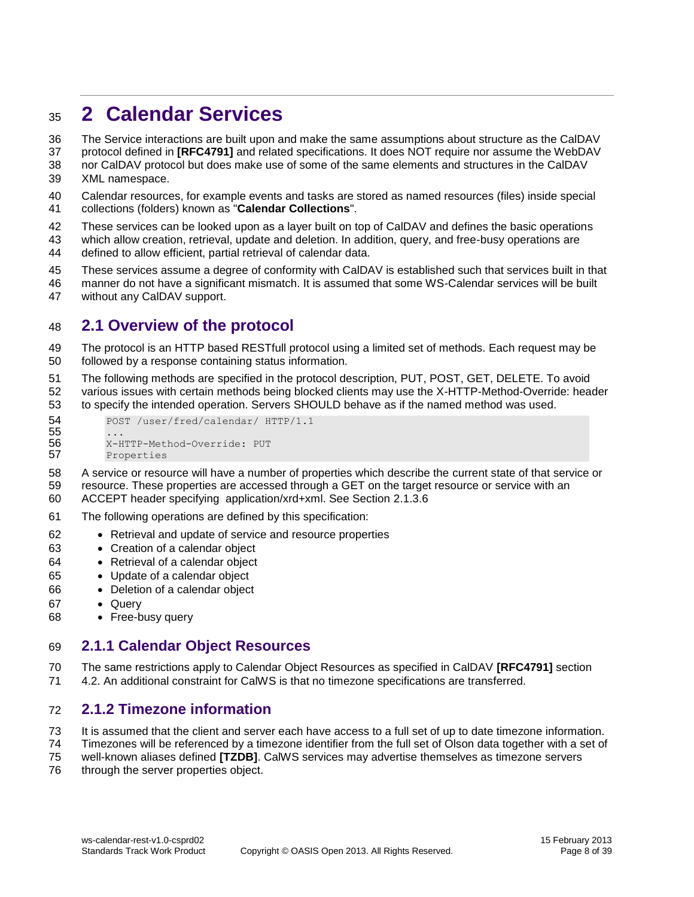# <span id="page-7-0"></span>**2 Calendar Services**

The Service interactions are built upon and make the same assumptions about structure as the CalDAV

protocol defined in **[RFC4791]** and related specifications. It does NOT require nor assume the WebDAV

- nor CalDAV protocol but does make use of some of the same elements and structures in the CalDAV XML namespace.
- Calendar resources, for example events and tasks are stored as named resources (files) inside special collections (folders) known as "**Calendar Collections**".
- 
- These services can be looked upon as a layer built on top of CalDAV and defines the basic operations
- which allow creation, retrieval, update and deletion. In addition, query, and free-busy operations are defined to allow efficient, partial retrieval of calendar data.
- These services assume a degree of conformity with CalDAV is established such that services built in that
- manner do not have a significant mismatch. It is assumed that some WS-Calendar services will be built without any CalDAV support.

#### <span id="page-7-1"></span>**2.1 Overview of the protocol**

- The protocol is an HTTP based RESTfull protocol using a limited set of methods. Each request may be followed by a response containing status information.
- The following methods are specified in the protocol description, PUT, POST, GET, DELETE. To avoid various issues with certain methods being blocked clients may use the X-HTTP-Method-Override: header to specify the intended operation. Servers SHOULD behave as if the named method was used.

```
54 POST /user/fred/calendar/ HTTP/1.1
55<br>56
         56 X-HTTP-Method-Override: PUT
57 Properties
```
- A service or resource will have a number of properties which describe the current state of that service or resource. These properties are accessed through a GET on the target resource or service with an ACCEPT header specifying application/xrd+xml. See Section [2.1.3.6](#page-8-2)
- The following operations are defined by this specification:
- Retrieval and update of service and resource properties
- Creation of a calendar object
- Retrieval of a calendar object
- Update of a calendar object
- Deletion of a calendar object
- 67 · Query
- Free-busy query

#### <span id="page-7-2"></span>**2.1.1 Calendar Object Resources**

- The same restrictions apply to Calendar Object Resources as specified in CalDAV **[RFC4791]** section
- 4.2. An additional constraint for CalWS is that no timezone specifications are transferred.

#### <span id="page-7-3"></span>**2.1.2 Timezone information**

- 73 It is assumed that the client and server each have access to a full set of up to date timezone information.
- Timezones will be referenced by a timezone identifier from the full set of Olson data together with a set of
- well-known aliases defined **[TZDB]**. CalWS services may advertise themselves as timezone servers
- 76 through the server properties object.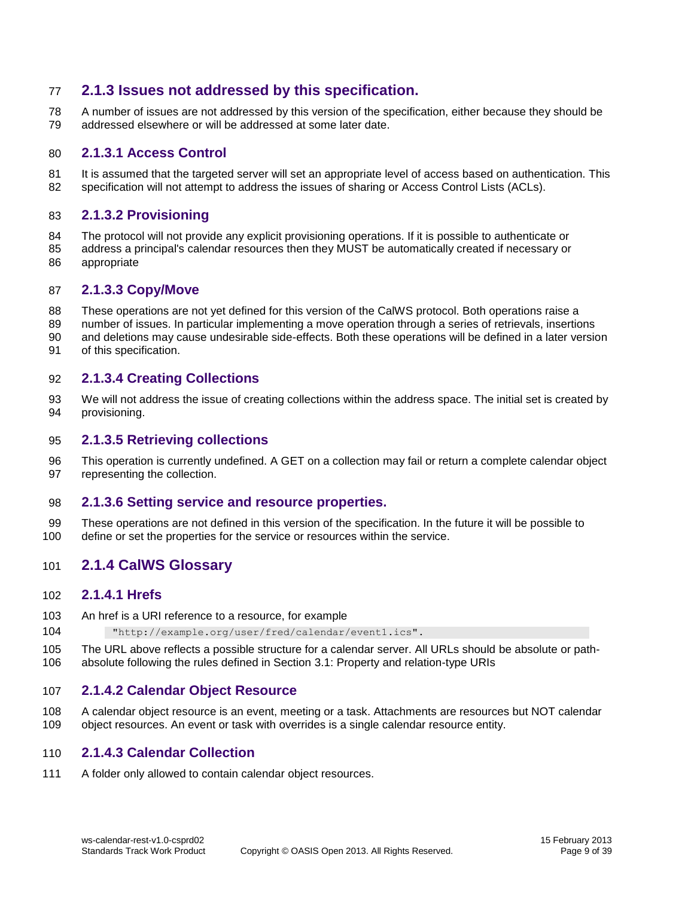#### <span id="page-8-0"></span>**2.1.3 Issues not addressed by this specification.**

 A number of issues are not addressed by this version of the specification, either because they should be addressed elsewhere or will be addressed at some later date.

#### **2.1.3.1 Access Control**

81 It is assumed that the targeted server will set an appropriate level of access based on authentication. This 82 specification will not attempt to address the issues of sharing or Access Control Lists (ACLs).

#### **2.1.3.2 Provisioning**

- The protocol will not provide any explicit provisioning operations. If it is possible to authenticate or
- address a principal's calendar resources then they MUST be automatically created if necessary or appropriate

#### **2.1.3.3 Copy/Move**

- These operations are not yet defined for this version of the CalWS protocol. Both operations raise a
- number of issues. In particular implementing a move operation through a series of retrievals, insertions
- and deletions may cause undesirable side-effects. Both these operations will be defined in a later version
- of this specification.

#### **2.1.3.4 Creating Collections**

 We will not address the issue of creating collections within the address space. The initial set is created by provisioning.

#### **2.1.3.5 Retrieving collections**

 This operation is currently undefined. A GET on a collection may fail or return a complete calendar object representing the collection.

#### <span id="page-8-2"></span>**2.1.3.6 Setting service and resource properties.**

 These operations are not defined in this version of the specification. In the future it will be possible to define or set the properties for the service or resources within the service.

#### <span id="page-8-1"></span>**2.1.4 CalWS Glossary**

#### **2.1.4.1 Hrefs**

- An href is a URI reference to a resource, for example
- "http://example.org/user/fred/calendar/event1.ics".
- The URL above reflects a possible structure for a calendar server. All URLs should be absolute or path-absolute following the rules defined in Section [3.1: Property and relation-type URIs](#page-10-1)

#### **2.1.4.2 Calendar Object Resource**

 A calendar object resource is an event, meeting or a task. Attachments are resources but NOT calendar object resources. An event or task with overrides is a single calendar resource entity.

#### **2.1.4.3 Calendar Collection**

A folder only allowed to contain calendar object resources.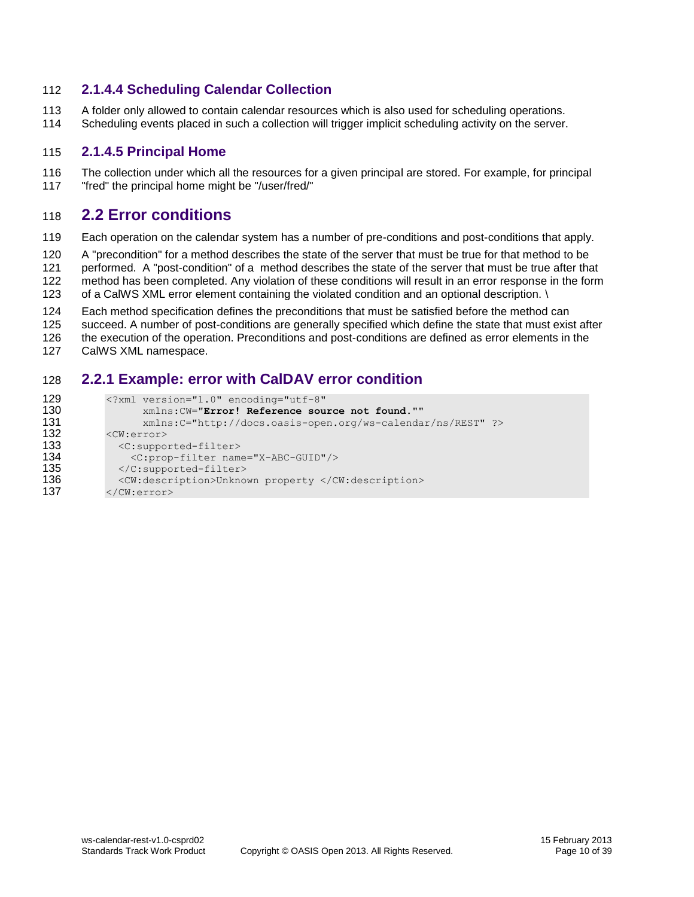#### **2.1.4.4 Scheduling Calendar Collection**

- A folder only allowed to contain calendar resources which is also used for scheduling operations.
- Scheduling events placed in such a collection will trigger implicit scheduling activity on the server.

#### **2.1.4.5 Principal Home**

 The collection under which all the resources for a given principal are stored. For example, for principal "fred" the principal home might be "/user/fred/"

#### <span id="page-9-0"></span>**2.2 Error conditions**

Each operation on the calendar system has a number of pre-conditions and post-conditions that apply.

A "precondition" for a method describes the state of the server that must be true for that method to be

performed. A "post-condition" of a method describes the state of the server that must be true after that

- method has been completed. Any violation of these conditions will result in an error response in the form
- 123 of a CalWS XML error element containing the violated condition and an optional description. \
- Each method specification defines the preconditions that must be satisfied before the method can
- succeed. A number of post-conditions are generally specified which define the state that must exist after
- the execution of the operation. Preconditions and post-conditions are defined as error elements in the
- CalWS XML namespace.

#### <span id="page-9-1"></span>**2.2.1 Example: error with CalDAV error condition**

```
129 <?xml version="1.0" encoding="utf-8"<br>130 xmlns:CW="Error! Reference sou
130 xmlns:CW="Error! Reference source not found.""
131 xmlns:C="http://docs.oasis-open.org/ws-calendar/ns/REST" ?><br>132 <CW:error>
          <CW:error>
133 <c:supported-filter>
134 <C:prop-filter name="X-ABC-GUID"/>
135 </C:supported-filter>
136 <CW:description>Unknown property </CW:description><br>137 </CW:error>
          </CW:error>
```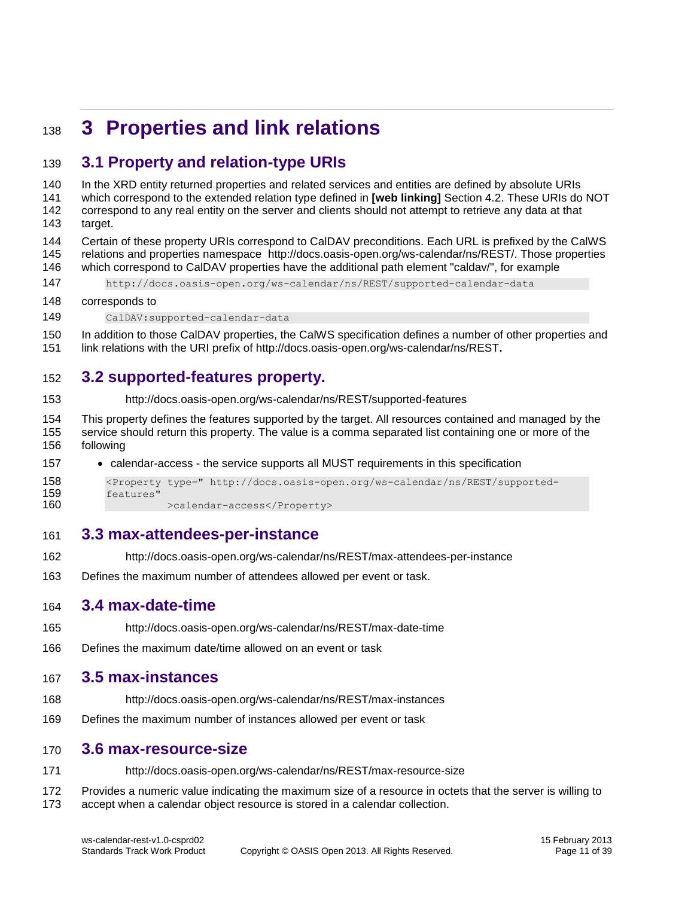# <span id="page-10-0"></span>**3 Properties and link relations**

#### <span id="page-10-1"></span>**3.1 Property and relation-type URIs**

 In the XRD entity returned properties and related services and entities are defined by absolute URIs which correspond to the extended relation type defined in **[web linking]** Section 4.2. These URIs do NOT correspond to any real entity on the server and clients should not attempt to retrieve any data at that target. Certain of these property URIs correspond to CalDAV preconditions. Each URL is prefixed by the CalWS relations and properties namespace http://docs.oasis-open.org/ws-calendar/ns/REST/. Those properties which correspond to CalDAV properties have the additional path element "caldav/", for example http://docs.oasis-open.org/ws-calendar/ns/REST/supported-calendar-data corresponds to CalDAV:supported-calendar-data

 In addition to those CalDAV properties, the CalWS specification defines a number of other properties and link relations with the URI prefix of http://docs.oasis-open.org/ws-calendar/ns/REST**.**

### <span id="page-10-2"></span>**3.2 supported-features property.**

- http://docs.oasis-open.org/ws-calendar/ns/REST/supported-features
- This property defines the features supported by the target. All resources contained and managed by the service should return this property. The value is a comma separated list containing one or more of the following
- calendar-access the service supports all MUST requirements in this specification

```
158 <Property type=" http://docs.oasis-open.org/ws-calendar/ns/REST/supported-
159 features"
160 >calendar-access</Property>
```
#### <span id="page-10-3"></span>**3.3 max-attendees-per-instance**

- http://docs.oasis-open.org/ws-calendar/ns/REST/max-attendees-per-instance
- Defines the maximum number of attendees allowed per event or task.

#### <span id="page-10-4"></span>**3.4 max-date-time**

- http://docs.oasis-open.org/ws-calendar/ns/REST/max-date-time
- Defines the maximum date/time allowed on an event or task

#### <span id="page-10-5"></span>**3.5 max-instances**

- http://docs.oasis-open.org/ws-calendar/ns/REST/max-instances
- Defines the maximum number of instances allowed per event or task

#### <span id="page-10-6"></span>**3.6 max-resource-size**

http://docs.oasis-open.org/ws-calendar/ns/REST/max-resource-size

 Provides a numeric value indicating the maximum size of a resource in octets that the server is willing to accept when a calendar object resource is stored in a calendar collection.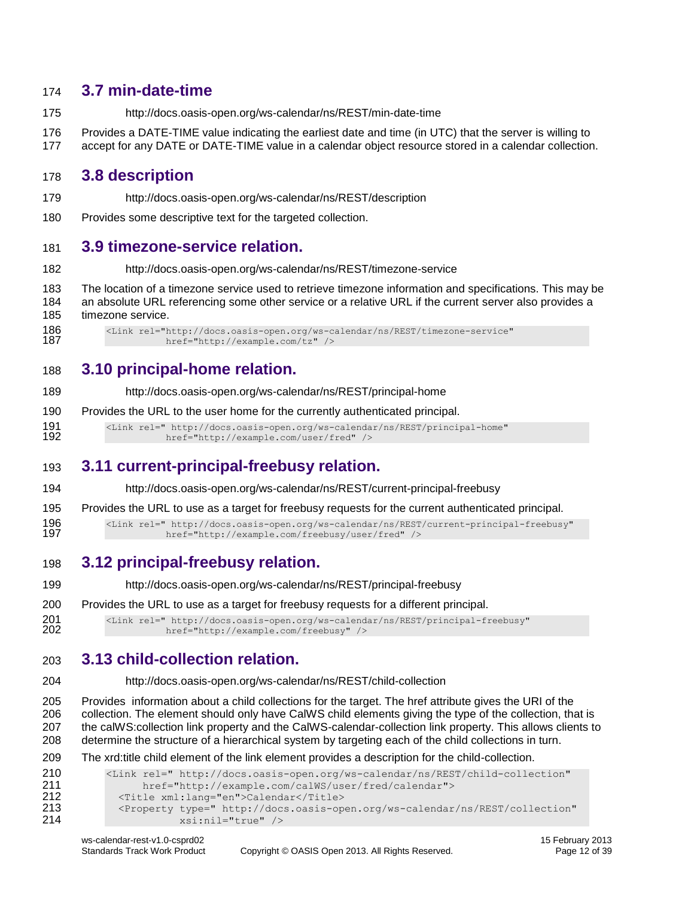#### <span id="page-11-0"></span>**3.7 min-date-time**

- http://docs.oasis-open.org/ws-calendar/ns/REST/min-date-time
- Provides a DATE-TIME value indicating the earliest date and time (in UTC) that the server is willing to
- accept for any DATE or DATE-TIME value in a calendar object resource stored in a calendar collection.

#### <span id="page-11-1"></span>**3.8 description**

- http://docs.oasis-open.org/ws-calendar/ns/REST/description
- Provides some descriptive text for the targeted collection.

#### <span id="page-11-2"></span>**3.9 timezone-service relation.**

- http://docs.oasis-open.org/ws-calendar/ns/REST/timezone-service
- The location of a timezone service used to retrieve timezone information and specifications. This may be an absolute URL referencing some other service or a relative URL if the current server also provides a timezone service.

186 <Link rel="http://docs.oasis-open.org/ws-calendar/ns/REST/timezone-service"<br>187 href="http://example.com/tz" /> href="http://example.com/tz" />

#### <span id="page-11-3"></span>**3.10 principal-home relation.**

- http://docs.oasis-open.org/ws-calendar/ns/REST/principal-home
- Provides the URL to the user home for the currently authenticated principal.

191 <Link rel=" http://docs.oasis-open.org/ws-calendar/ns/REST/principal-home"<br>192 href="http://example.com/user/fred" /> href="http://example.com/user/fred" />

#### <span id="page-11-4"></span>**3.11 current-principal-freebusy relation.**

- http://docs.oasis-open.org/ws-calendar/ns/REST/current-principal-freebusy
- Provides the URL to use as a target for freebusy requests for the current authenticated principal.
- <Link rel=" http://docs.oasis-open.org/ws-calendar/ns/REST/current-principal-freebusy" href="http://example.com/freebusy/user/fred" />
- <span id="page-11-5"></span>**3.12 principal-freebusy relation.**
- http://docs.oasis-open.org/ws-calendar/ns/REST/principal-freebusy
- Provides the URL to use as a target for freebusy requests for a different principal.

201 <Link rel=" http://docs.oasis-open.org/ws-calendar/ns/REST/principal-freebusy"<br>202 href="http://example.com/freebusy" /> href="http://example.com/freebusy" />

#### <span id="page-11-6"></span>**3.13 child-collection relation.**

http://docs.oasis-open.org/ws-calendar/ns/REST/child-collection

 Provides information about a child collections for the target. The href attribute gives the URI of the collection. The element should only have CalWS child elements giving the type of the collection, that is the calWS:collection link property and the CalWS-calendar-collection link property. This allows clients to determine the structure of a hierarchical system by targeting each of the child collections in turn.

#### The xrd:title child element of the link element provides a description for the child-collection.

```
210 <Link rel=" http://docs.oasis-open.org/ws-calendar/ns/REST/child-collection" 
211 href="http://example.com/calWS/user/fred/calendar"><br>212 < Title xml:lang="en">Calendar</Title>
              <Title xml:lang="en">Calendar</Title>
213 <Property type=" http://docs.oasis-open.org/ws-calendar/ns/REST/collection"<br>214 sai:nil="true" />
                          214 xsi:nil="true" />
```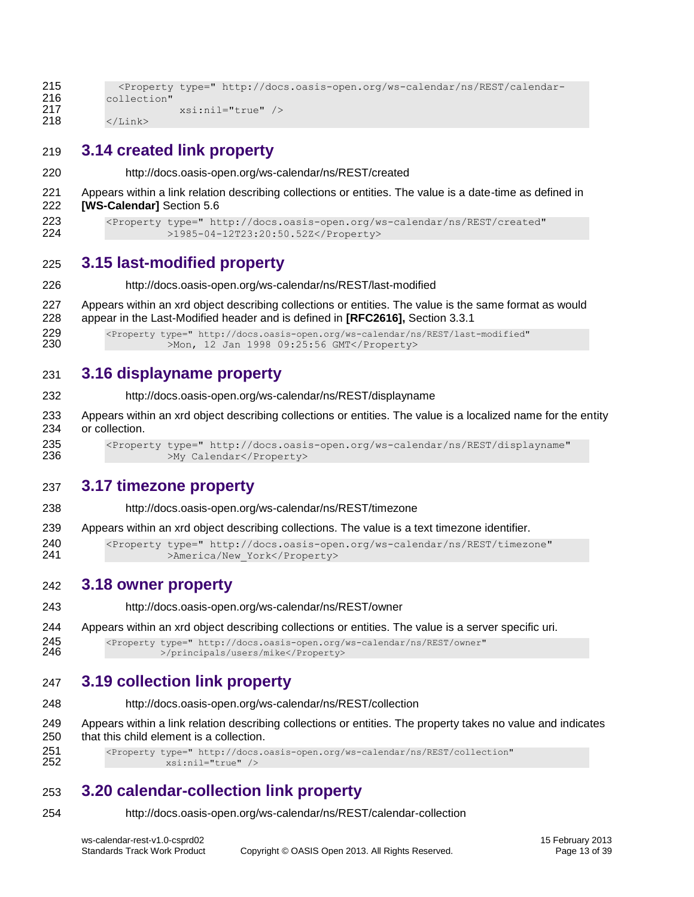```
215 <Property type=" http://docs.oasis-open.org/ws-calendar/ns/REST/calendar-
216 collection"<br>217
                      217 xsi:nil="true" />
218 \langle /Link>
```
#### <span id="page-12-0"></span>**3.14 created link property**

http://docs.oasis-open.org/ws-calendar/ns/REST/created

 Appears within a link relation describing collections or entities. The value is a date-time as defined in **[WS-Calendar]** Section 5.6

```
223 <Property type=" http://docs.oasis-open.org/ws-calendar/ns/REST/created"
224 >1985-04-12T23:20:50.52Z</Property>
```
#### <span id="page-12-1"></span>**3.15 last-modified property**

- http://docs.oasis-open.org/ws-calendar/ns/REST/last-modified
- Appears within an xrd object describing collections or entities. The value is the same format as would appear in the Last-Modified header and is defined in **[RFC2616],** Section 3.3.1

229 <Property type=" http://docs.oasis-open.org/ws-calendar/ns/REST/last-modified"<br>230 > Mon. 12 Jan 1998 09:25:56 GMT</Property> >Mon, 12 Jan 1998 09:25:56 GMT</Property>

#### <span id="page-12-2"></span>**3.16 displayname property**

- http://docs.oasis-open.org/ws-calendar/ns/REST/displayname
- Appears within an xrd object describing collections or entities. The value is a localized name for the entity or collection.
- <Property type=" http://docs.oasis-open.org/ws-calendar/ns/REST/displayname" >My Calendar</Property>

#### <span id="page-12-3"></span>**3.17 timezone property**

- http://docs.oasis-open.org/ws-calendar/ns/REST/timezone
- Appears within an xrd object describing collections. The value is a text timezone identifier.

 <Property type=" http://docs.oasis-open.org/ws-calendar/ns/REST/timezone" 241 >America/New York</Property>

#### <span id="page-12-4"></span>**3.18 owner property**

- http://docs.oasis-open.org/ws-calendar/ns/REST/owner
- Appears within an xrd object describing collections or entities. The value is a server specific uri.

245 <Property type=" http://docs.oasis-open.org/ws-calendar/ns/REST/owner"<br>246 >/principals/users/mike</Property> >/principals/users/mike</Property>

#### <span id="page-12-5"></span>**3.19 collection link property**

- http://docs.oasis-open.org/ws-calendar/ns/REST/collection
- Appears within a link relation describing collections or entities. The property takes no value and indicates that this child element is a collection.

251 <Property type=" http://docs.oasis-open.org/ws-calendar/ns/REST/collection"<br>252 xsi:nil="true" /> xsi:nil="true" />

#### <span id="page-12-6"></span>**3.20 calendar-collection link property**

http://docs.oasis-open.org/ws-calendar/ns/REST/calendar-collection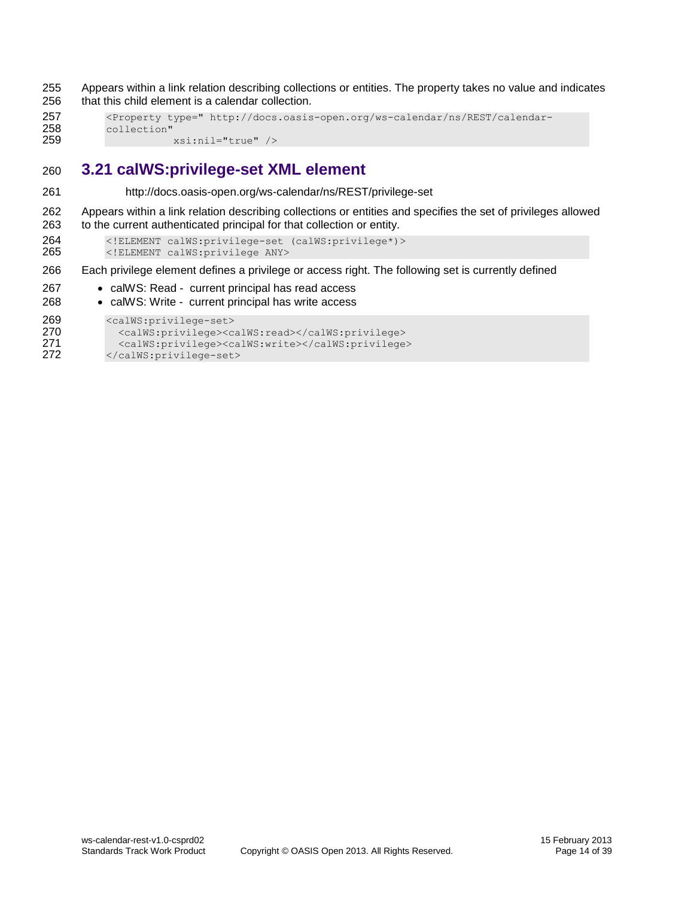255 Appears within a link relation describing collections or entities. The property takes no value and indicates 256 that this child element is a calendar collection.

```
257 <Property type=" http://docs.oasis-open.org/ws-calendar/ns/REST/calendar-
258 collection"<br>259
                     259 xsi:nil="true" />
```
#### <span id="page-13-0"></span>260 **3.21 calWS:privilege-set XML element**

261 http://docs.oasis-open.org/ws-calendar/ns/REST/privilege-set

262 Appears within a link relation describing collections or entities and specifies the set of privileges allowed 263 to the current authenticated principal for that collection or entity.

264 <!ELEMENT calWS:privilege-set (calWS:privilege\*)><br>265 </RIEMENT calWS:privilege ANY> 265 <!ELEMENT calWS:privilege ANY>

266 Each privilege element defines a privilege or access right. The following set is currently defined

- 267 calWS: Read current principal has read access
- 268 calWS: Write current principal has write access

```
269 <calWS:privilege-set>
```

```
270 <calWS:privilege><calWS:read></calWS:privilege>
271 <calWS:privilege><calWS:write></calWS:privilege><br>272 </calWS:privilege-set>
           </calWS:privilege-set>
```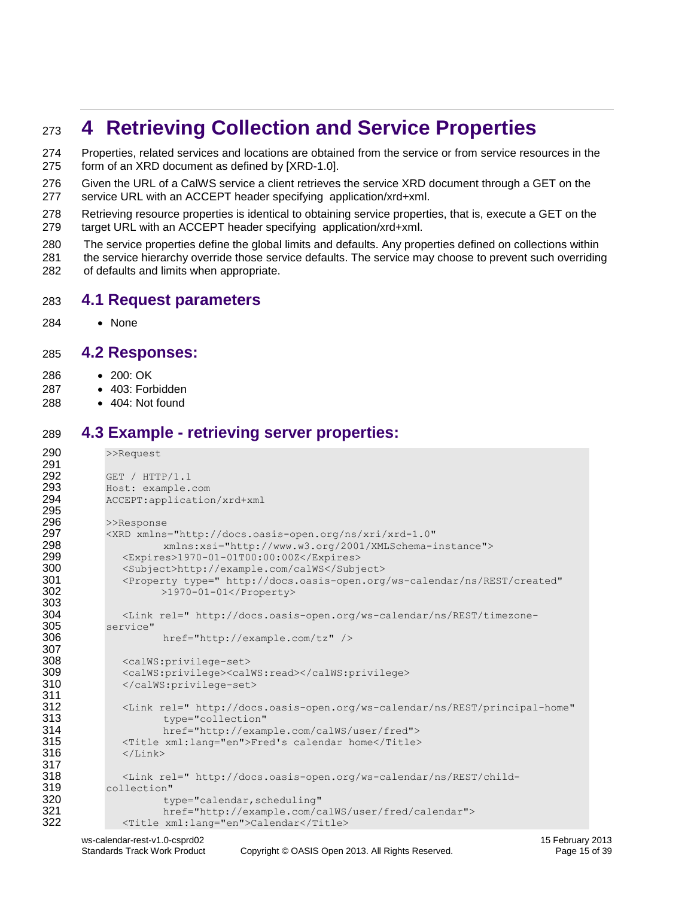# <span id="page-14-0"></span>**4 Retrieving Collection and Service Properties**

 Properties, related services and locations are obtained from the service or from service resources in the form of an XRD document as defined by [XRD-1.0].

 Given the URL of a CalWS service a client retrieves the service XRD document through a GET on the service URL with an ACCEPT header specifying application/xrd+xml.

 Retrieving resource properties is identical to obtaining service properties, that is, execute a GET on the target URL with an ACCEPT header specifying application/xrd+xml.

 The service properties define the global limits and defaults. Any properties defined on collections within the service hierarchy override those service defaults. The service may choose to prevent such overriding

of defaults and limits when appropriate.

#### <span id="page-14-1"></span>**4.1 Request parameters**

None

#### <span id="page-14-2"></span>**4.2 Responses:**

- 200: OK
- 287 403: Forbidden
- 288 404: Not found

#### <span id="page-14-3"></span>**4.3 Example - retrieving server properties:**

```
290 >>Request
291<br>292
292 GET / HTTP/1.1<br>293 Host: example.
          293 Host: example.com
294 ACCEPT:application/xrd+xml
295<br>296
          >>Response
297 <XRD xmlns="http://docs.oasis-open.org/ns/xri/xrd-1.0"
                    298 xmlns:xsi="http://www.w3.org/2001/XMLSchema-instance">
299 <Expires>1970-01-01T00:00:00Z</Expires>
300 <Subject>http://example.com/calWS</Subject><br>301 <Property type=" http://docs.oasis-open.org
             301 <Property type=" http://docs.oasis-open.org/ws-calendar/ns/REST/created"
302 >1970-01-01</Property>
303
304 <Link rel=" http://docs.oasis-open.org/ws-calendar/ns/REST/timezone-
305 service"
                    href="http://example.com/tz" />
307
             308 <calWS:privilege-set>
309 <calWS:privilege><calWS:read></calWS:privilege>
310 </calWS:privilege-set>
311
312 <Link rel=" http://docs.oasis-open.org/ws-calendar/ns/REST/principal-home"<br>313 type="collection"
                    type="collection"
314 href="http://example.com/calWS/user/fred">
315 <Title xml:lang="en">Fred's calendar home</Title><br>316 </Link>
             \langleLink>
317
318 <Link rel=" http://docs.oasis-open.org/ws-calendar/ns/REST/child-
319 collection" 
320 type="calendar, scheduling"<br>321 href="http://example.com/c
                    href="http://example.com/calWS/user/fred/calendar">
322 <Title xml:lang="en">Calendar</Title>
```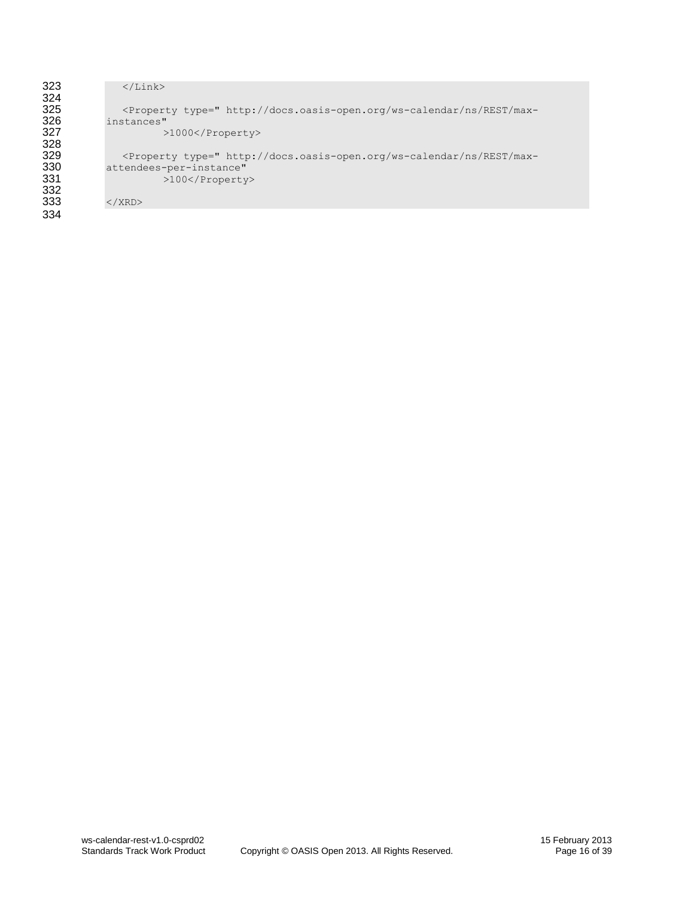| 323 | $\langle$ /Link $\rangle$                                                                                                                                                            |
|-----|--------------------------------------------------------------------------------------------------------------------------------------------------------------------------------------|
| 324 |                                                                                                                                                                                      |
| 325 | <property <="" th="" type=" http://docs.oasis-open.org/ws-calendar/ns/REST/max-&lt;/th&gt;&lt;/tr&gt;&lt;tr&gt;&lt;th&gt;326&lt;/th&gt;&lt;th&gt;instances"></property>              |
| 327 | $>1000$                                                                                                                                                                              |
| 328 |                                                                                                                                                                                      |
| 329 | <property <="" th="" type=" http://docs.oasis-open.org/ws-calendar/ns/REST/max-&lt;/th&gt;&lt;/tr&gt;&lt;tr&gt;&lt;th&gt;330&lt;/th&gt;&lt;th&gt;attendees-per-instance"></property> |
| 331 | $>100$                                                                                                                                                                               |
| 332 |                                                                                                                                                                                      |
| 333 | $\langle$ /XRD $\rangle$                                                                                                                                                             |
| 334 |                                                                                                                                                                                      |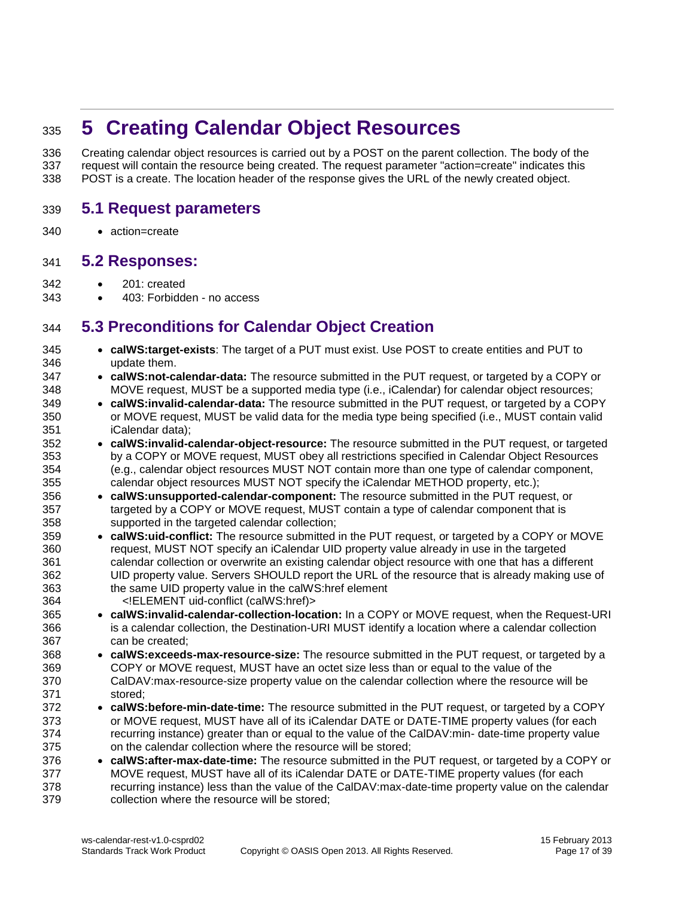# <span id="page-16-0"></span>**5 Creating Calendar Object Resources**

 Creating calendar object resources is carried out by a POST on the parent collection. The body of the request will contain the resource being created. The request parameter "action=create" indicates this POST is a create. The location header of the response gives the URL of the newly created object.

#### <span id="page-16-1"></span>**5.1 Request parameters**

action=create

#### <span id="page-16-2"></span>**5.2 Responses:**

- 201: created
- 343 403: Forbidden no access

#### <span id="page-16-3"></span>**5.3 Preconditions for Calendar Object Creation**

- **calWS:target-exists**: The target of a PUT must exist. Use POST to create entities and PUT to update them.
- **calWS:not-calendar-data:** The resource submitted in the PUT request, or targeted by a COPY or MOVE request, MUST be a supported media type (i.e., iCalendar) for calendar object resources;
- **calWS:invalid-calendar-data:** The resource submitted in the PUT request, or targeted by a COPY or MOVE request, MUST be valid data for the media type being specified (i.e., MUST contain valid iCalendar data);
- **calWS:invalid-calendar-object-resource:** The resource submitted in the PUT request, or targeted by a COPY or MOVE request, MUST obey all restrictions specified in Calendar Object Resources (e.g., calendar object resources MUST NOT contain more than one type of calendar component, calendar object resources MUST NOT specify the iCalendar METHOD property, etc.);
- **calWS:unsupported-calendar-component:** The resource submitted in the PUT request, or 357 targeted by a COPY or MOVE request, MUST contain a type of calendar component that is supported in the targeted calendar collection;
- **calWS:uid-conflict:** The resource submitted in the PUT request, or targeted by a COPY or MOVE request, MUST NOT specify an iCalendar UID property value already in use in the targeted calendar collection or overwrite an existing calendar object resource with one that has a different UID property value. Servers SHOULD report the URL of the resource that is already making use of the same UID property value in the calWS:href element <!ELEMENT uid-conflict (calWS:href)>
- **calWS:invalid-calendar-collection-location:** In a COPY or MOVE request, when the Request-URI is a calendar collection, the Destination-URI MUST identify a location where a calendar collection can be created;
- **calWS:exceeds-max-resource-size:** The resource submitted in the PUT request, or targeted by a COPY or MOVE request, MUST have an octet size less than or equal to the value of the CalDAV:max-resource-size property value on the calendar collection where the resource will be stored;
- **calWS:before-min-date-time:** The resource submitted in the PUT request, or targeted by a COPY or MOVE request, MUST have all of its iCalendar DATE or DATE-TIME property values (for each recurring instance) greater than or equal to the value of the CalDAV:min- date-time property value on the calendar collection where the resource will be stored;
- **calWS:after-max-date-time:** The resource submitted in the PUT request, or targeted by a COPY or MOVE request, MUST have all of its iCalendar DATE or DATE-TIME property values (for each recurring instance) less than the value of the CalDAV:max-date-time property value on the calendar collection where the resource will be stored;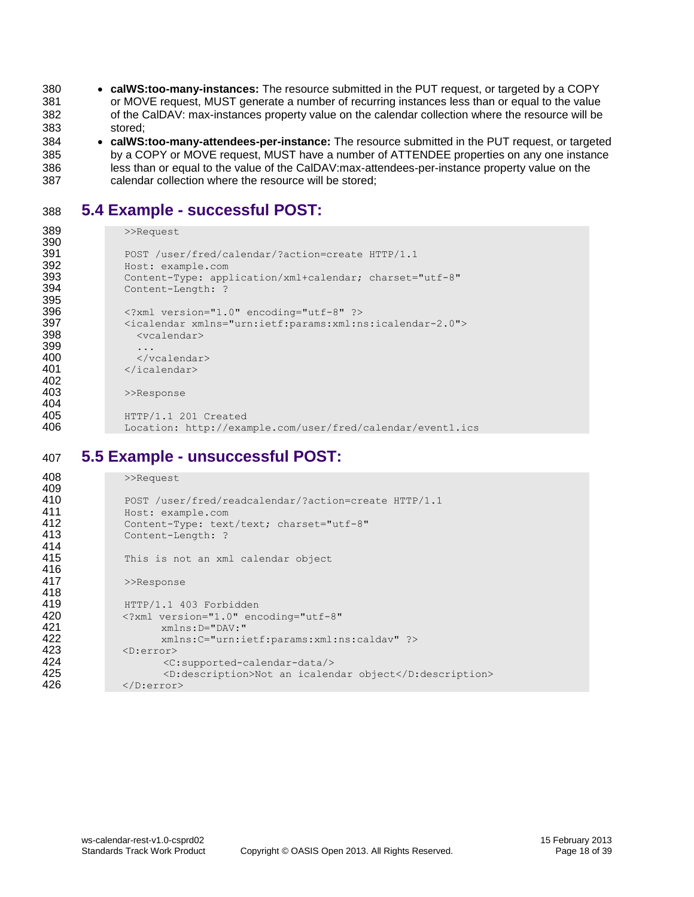**calWS:too-many-instances:** The resource submitted in the PUT request, or targeted by a COPY or MOVE request, MUST generate a number of recurring instances less than or equal to the value of the CalDAV: max-instances property value on the calendar collection where the resource will be 383 stored;

 **calWS:too-many-attendees-per-instance:** The resource submitted in the PUT request, or targeted by a COPY or MOVE request, MUST have a number of ATTENDEE properties on any one instance less than or equal to the value of the CalDAV:max-attendees-per-instance property value on the calendar collection where the resource will be stored;

#### <span id="page-17-0"></span>388 **5.4 Example - successful POST:**

```
389 >>Request
390<br>391
                 POST /user/fred/calendar/?action=create HTTP/1.1
392 Host: example.com<br>393 Content-Type: app.
393 Content-Type: application/xml+calendar; charset="utf-8"<br>394 Content-Length: ?
                 Content-Length: ?
395<br>396
396 <?xml version="1.0" encoding="utf-8" ?><br>397 <icalendar xmlns="urn:ietf:params:xml:n;
397 <icalendar xmlns="urn:ietf:params:xml:ns:icalendar-2.0"><br>398 < vcalendar>
                   398 <vcalendar>
399<br>400
400 </vcalendar><br>401 </icalendar>
                 401 </icalendar>
402<br>403
                 >>Response
404
405 HTTP/1.1 201 Created<br>406 Location: http://exam
                 406 Location: http://example.com/user/fred/calendar/event1.ics
```
#### <span id="page-17-1"></span>407 **5.5 Example - unsuccessful POST:**

| 408 | >>Request                                               |
|-----|---------------------------------------------------------|
| 409 |                                                         |
| 410 | POST /user/fred/readcalendar/?action=create HTTP/1.1    |
| 411 | Host: example.com                                       |
| 412 | Content-Type: text/text; charset="utf-8"                |
| 413 | Content-Length: ?                                       |
| 414 |                                                         |
| 415 | This is not an xml calendar object                      |
| 416 |                                                         |
| 417 | >>Response                                              |
| 418 |                                                         |
| 419 | HTTP/1.1 403 Forbidden                                  |
| 420 | xml version="1.0" encoding="utf-8"</th                  |
| 421 | $xmlns: D = "DAV: "$                                    |
| 422 | xmlns:C="urn:ietf:params:xml:ns:caldav" ?>              |
| 423 | $\langle$ D:error $\rangle$                             |
| 424 | <c:supported-calendar-data></c:supported-calendar-data> |
| 425 | <d:description>Not an icalendar object</d:description>  |
| 426 | $\langle$ D:error>                                      |
|     |                                                         |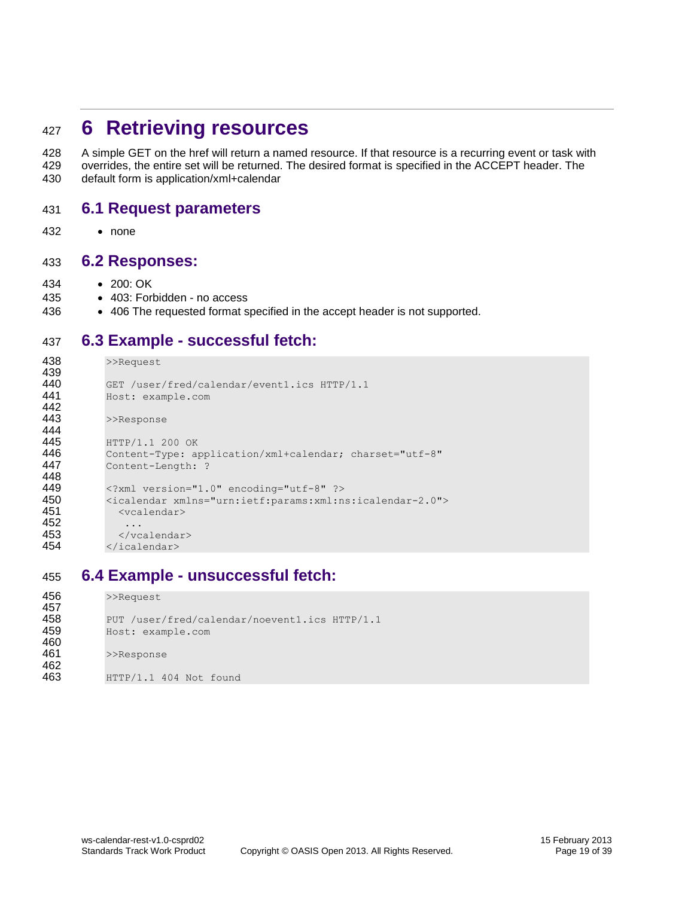### <span id="page-18-0"></span><sup>427</sup> **6 Retrieving resources**

428 A simple GET on the href will return a named resource. If that resource is a recurring event or task with 429 overrides, the entire set will be returned. The desired format is specified in the ACCEPT header. The 430 default form is application/xml+calendar

#### <span id="page-18-1"></span>431 **6.1 Request parameters**

432 none

#### <span id="page-18-2"></span>433 **6.2 Responses:**

- 434 200: OK
- 435 403: Forbidden no access
- 436 406 The requested format specified in the accept header is not supported.

#### <span id="page-18-3"></span>437 **6.3 Example - successful fetch:**

```
438 >>Request
439
440 GET /user/fred/calendar/event1.ics HTTP/1.1<br>441 Host: example com
              441 Host: example.com
442<br>443
              >>Response
444
445 HTTP/1.1 200 OK<br>446 Content-Type: a
446 Content-Type: application/xml+calendar; charset="utf-8"<br>447 Content-Length: ?
              Content-Length: ?
448<br>449
449 <?xml version="1.0" encoding="utf-8" ?><br>450 <icalendar xmlns="urn:ietf:params:xml:n
450 <icalendar xmlns="urn:ietf:params:xml:ns:icalendar-2.0"> <a><br>451 <<a>
                451 <vcalendar>
452
453 </vcalendar><br>454 </icalendar>
              454 </icalendar>
```
#### <span id="page-18-4"></span>455 **6.4 Example - unsuccessful fetch:**

```
456 >>Request
457<br>458
458 PUT /user/fred/calendar/noevent1.ics HTTP/1.1<br>459 Host: example.com
            459 Host: example.com
460<br>461
            >>Response
462
463 HTTP/1.1 404 Not found
```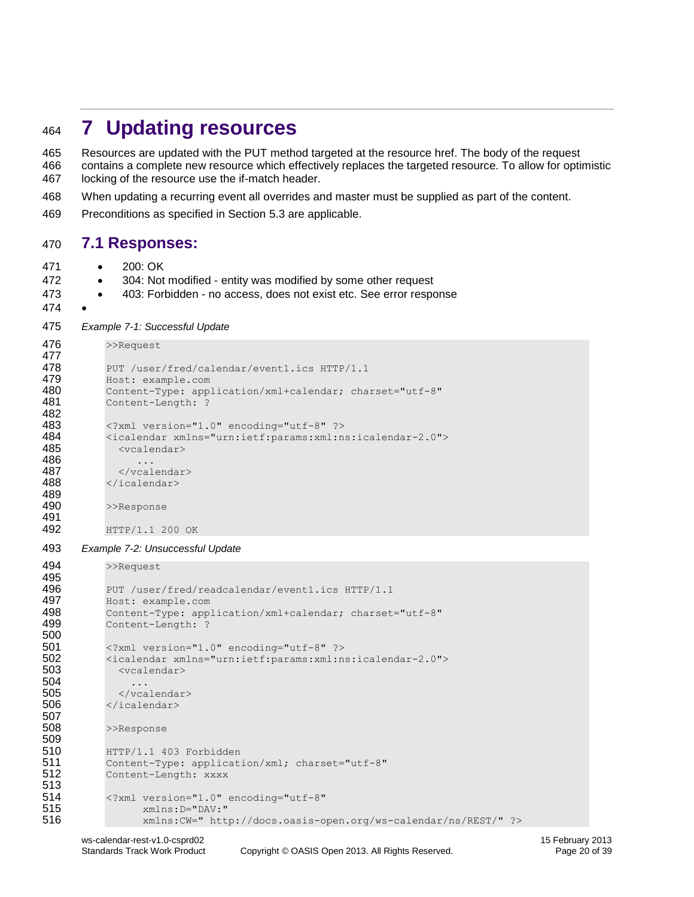# <span id="page-19-0"></span>**7 Updating resources**

 Resources are updated with the PUT method targeted at the resource href. The body of the request contains a complete new resource which effectively replaces the targeted resource. To allow for optimistic locking of the resource use the if-match header.

- When updating a recurring event all overrides and master must be supplied as part of the content.
- Preconditions as specified in Section [5.3](#page-16-3) are applicable.

#### <span id="page-19-1"></span>**7.1 Responses:**

- 200: OK
- 472 304: Not modified entity was modified by some other request
- **403: Forbidden no access, does not exist etc. See error response**
- 

```
475 Example 7-1: Successful Update
```

```
476 >>Request
477<br>478
           PUT /user/fred/calendar/event1.ics HTTP/1.1
479 Host: example.com<br>480 Content-Type: app.
            480 Content-Type: application/xml+calendar; charset="utf-8"
481 Content-Length: ?
482<br>483
483 <?xml version="1.0" encoding="utf-8" ?><br>484 <icalendar xmlns="urn:ietf:params:xml:n
484 <icalendar xmlns="urn:ietf:params:xml:ns:icalendar-2.0">
              485 <vcalendar>
486 ...
487 </vcalendar>
488 </icalendar>
489<br>490
           >>Response
491<br>492
```

```
492 HTTP/1.1 200 OK
```

```
493 Example 7-2: Unsuccessful Update
```

```
494 >>Request
```

```
495
496 PUT /user/fred/readcalendar/event1.ics HTTP/1.1
497 Host: example.com
498 Content-Type: application/xml+calendar; charset="utf-8"
499 Content-Length: ?
500<br>501
          501 <?xml version="1.0" encoding="utf-8" ?>
502 <icalendar xmlns="urn:ietf:params:xml:ns:icalendar-2.0">
           503 <vcalendar>
504 ...
505 </vcalendar>
506 </icalendar>
507
         >>Response
509<br>510
         510 HTTP/1.1 403 Forbidden
511 Content-Type: application/xml; charset="utf-8"
512 Content-Length: xxxx
513
514 <?xml version="1.0" encoding="utf-8"<br>515 xmlns:D="DAV:"
               515 xmlns:D="DAV:"
516 xmlns:CW=" http://docs.oasis-open.org/ws-calendar/ns/REST/" ?>
```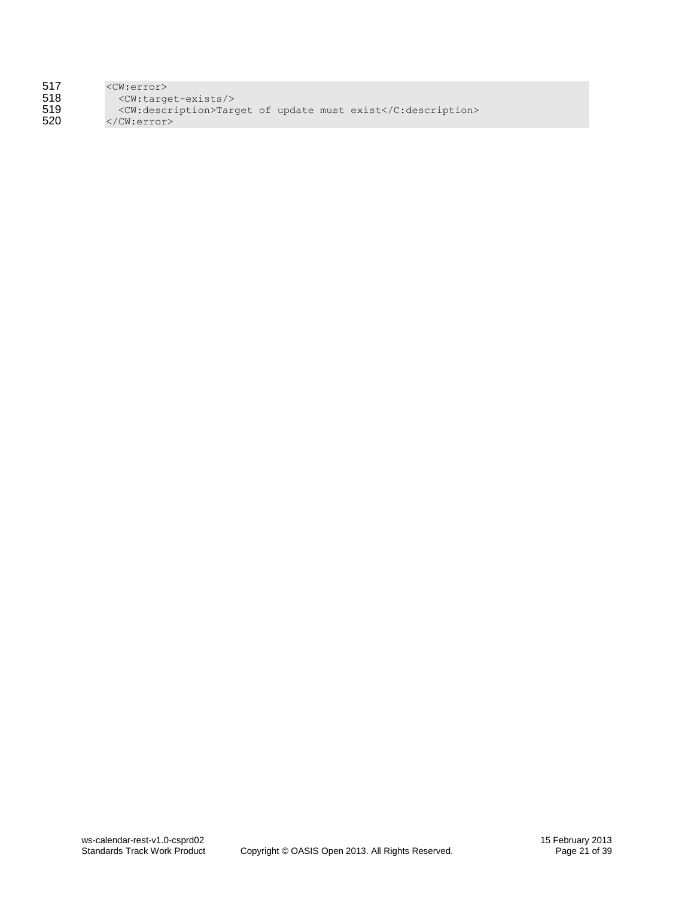| 517 | $<$ CW:error $>$                                             |
|-----|--------------------------------------------------------------|
| 518 | <cw:target-exists></cw:target-exists>                        |
| 519 | <cw:description>Target of update must exist</cw:description> |
| 520 | $\langle$ /CW:error>                                         |
|     |                                                              |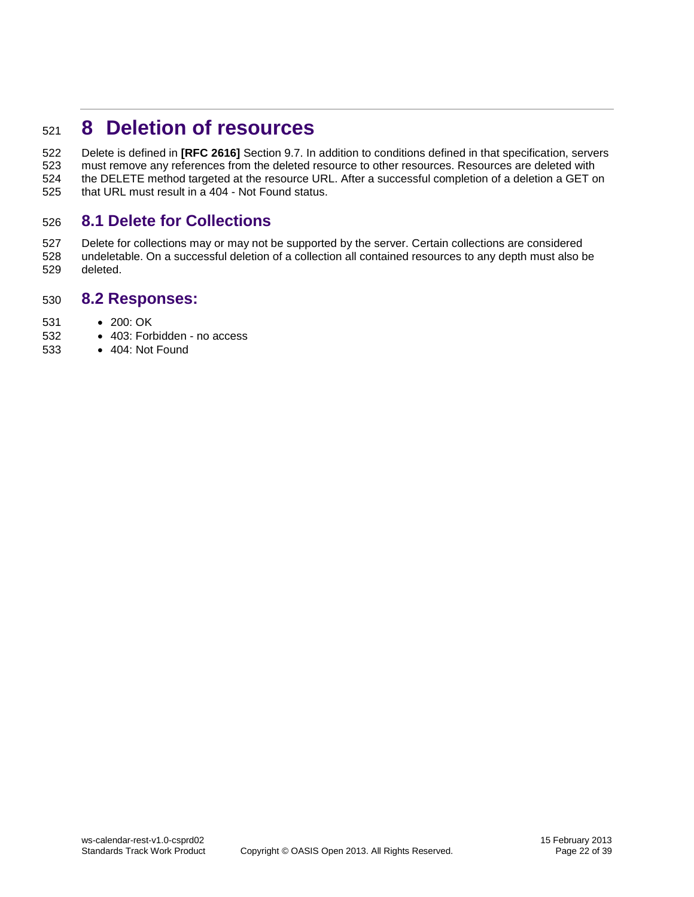# <span id="page-21-0"></span>**8 Deletion of resources**

 Delete is defined in **[RFC 2616]** Section 9.7. In addition to conditions defined in that specification, servers must remove any references from the deleted resource to other resources. Resources are deleted with the DELETE method targeted at the resource URL. After a successful completion of a deletion a GET on that URL must result in a 404 - Not Found status.

#### <span id="page-21-1"></span>**8.1 Delete for Collections**

 Delete for collections may or may not be supported by the server. Certain collections are considered undeletable. On a successful deletion of a collection all contained resources to any depth must also be deleted.

#### <span id="page-21-2"></span>**8.2 Responses:**

- 531 200: OK
- 532 403: Forbidden no access
- 404: Not Found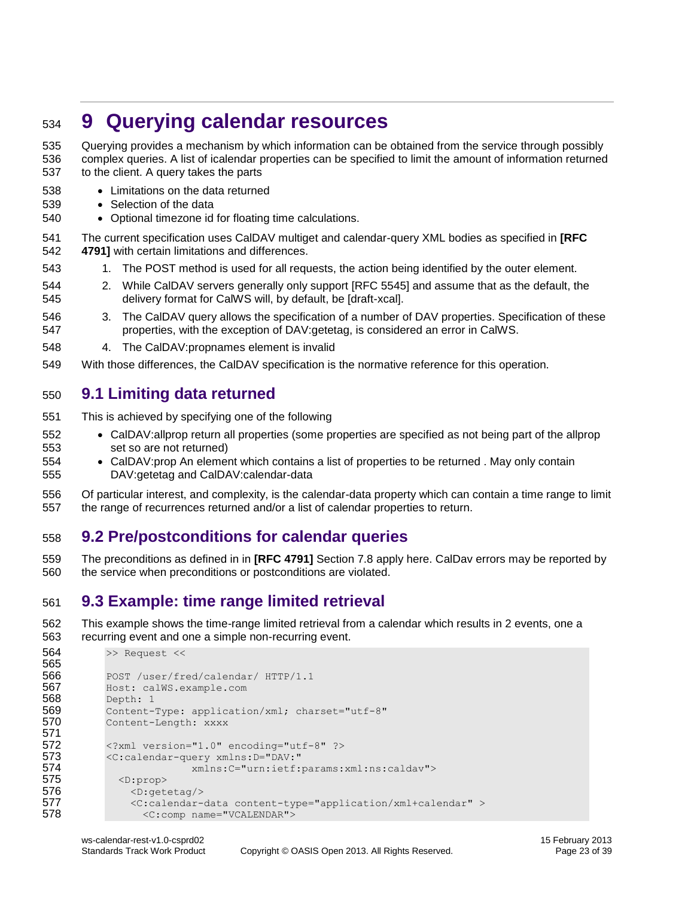# <span id="page-22-0"></span>**9 Querying calendar resources**

 Querying provides a mechanism by which information can be obtained from the service through possibly complex queries. A list of icalendar properties can be specified to limit the amount of information returned to the client. A query takes the parts

- Limitations on the data returned
- 539 Selection of the data
- Optional timezone id for floating time calculations.
- The current specification uses CalDAV multiget and calendar-query XML bodies as specified in **[RFC 4791]** with certain limitations and differences.
- 543 1. The POST method is used for all requests, the action being identified by the outer element.
- 2. While CalDAV servers generally only support [RFC 5545] and assume that as the default, the delivery format for CalWS will, by default, be [draft-xcal].
- 3. The CalDAV query allows the specification of a number of DAV properties. Specification of these properties, with the exception of DAV:getetag, is considered an error in CalWS.
- 4. The CalDAV:propnames element is invalid
- With those differences, the CalDAV specification is the normative reference for this operation.

#### <span id="page-22-1"></span>**9.1 Limiting data returned**

- This is achieved by specifying one of the following
- CalDAV:allprop return all properties (some properties are specified as not being part of the allprop set so are not returned)
- CalDAV:prop An element which contains a list of properties to be returned . May only contain DAV:getetag and CalDAV:calendar-data
- Of particular interest, and complexity, is the calendar-data property which can contain a time range to limit the range of recurrences returned and/or a list of calendar properties to return.

#### <span id="page-22-2"></span>**9.2 Pre/postconditions for calendar queries**

 The preconditions as defined in in **[RFC 4791]** Section 7.8 apply here. CalDav errors may be reported by the service when preconditions or postconditions are violated.

#### <span id="page-22-3"></span>**9.3 Example: time range limited retrieval**

 This example shows the time-range limited retrieval from a calendar which results in 2 events, one a recurring event and one a simple non-recurring event.

```
564 >> Request <<
565
566 POST /user/fred/calendar/ HTTP/1.1
567 Host: calWS.example.com
568 Depth: 1
569 Content-Type: application/xml; charset="utf-8"<br>570 Content-Length: xxxx
         Content-Length: xxxx
571
         572 <?xml version="1.0" encoding="utf-8" ?>
573 < C:calendar-query xmlns: D="DAV:"
574 xmlns:C="urn:ietf:params:xml:ns:caldav">
575 <D:prop>
576 <D:getetag/><br>577 <c:calendar-
             577 <C:calendar-data content-type="application/xml+calendar" >
578 <c:comp name="VCALENDAR">
```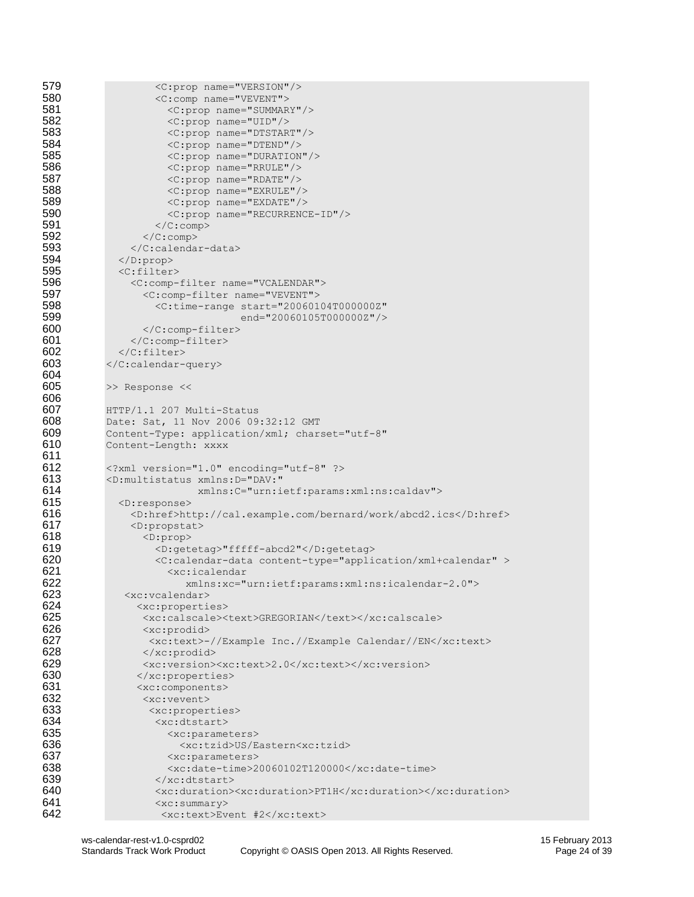```
579 <C:prop name="VERSION"/>
580 <C:comp name="VEVENT"><br>581 < C:prop name="SUMMAR
                     581 <C:prop name="SUMMARY"/>
582 <c:prop name="UID"/>
583 <C:prop name="DTSTART"/>
584 <C:prop name="DTEND"/><br>585 <c:prop name="DURATION
585 <c:prop name="DURATION"/><br>586 <c:prop name="RRULE"/>
                     586 <C:prop name="RRULE"/>
587 <c:prop name="RDATE"/>
588 <c:prop name="EXRULE"/><br>589 <c:prop name="EXDATE"/>
589 <C:prop name="EXDATE"/>
590 <c:prop name="RECURRENCE-ID"/><br>591 </c:comp>
591 </C:comp><br>592 </C:comp>
592 </C:comp><br>593 </C:calenda
               593 </C:calendar-data>
594 \langle/D:prop\rangle595 <c:filter><br>596 <c:comp-
596 < C:comp-filter name="VCALENDAR"><br>597 < C:comp-filter name="VEVENT">
597 <C:comp-filter name="VEVENT">
598 <C:time-range start="20060104T000000Z"
599 end="20060105T0000002"/><br>600 </C:comp-filter>
                 600 </C:comp-filter>
601 </C:comp-filter>
602 </C:filter><br>603 </C:calendar-
           </C:calendar-query>
604<br>605
           >> Response <<
606<br>607
          607 HTTP/1.1 207 Multi-Status
608 Date: Sat, 11 Nov 2006 09:32:12 GMT
609 Content-Type: application/xml; charset="utf-8"
610 Content-Length: xxxx
611<br>612
612 \langle ? \text{xml version} = "1.0" encoding = "utf-8" ?\rangle<br>613 \langle D:\text{multi status xmlns: D} = "DAV:"613 <D:multistatus xmlns:D="DAV:"
614 xmlns:C="urn:ietf:params:xml:ns:caldav">
615 <D:response>
616 <D:href>http://cal.example.com/bernard/work/abcd2.ics</D:href>
617 \langle D: \text{property} \rangle<br>618 \langle D: \text{prop} \rangle618 <D:prop><br>619 <\sim 0.get
619 <D:getetag>"fffff-abcd2"</D:getetag>
                   620 <C:calendar-data content-type="application/xml+calendar" >
621 <xc:icalendar 
622 xmlns:xc="urn:ietf:params:xml:ns:icalendar-2.0">
623 <xc:vcalendar><br>624 <xc:properti
624 <xc:properties>
625 <xc:calscale><text>GREGORIAN</text></xc:calscale><br>626 <xc:prodid>
626 <xc:prodid><br>627 <xc:text>-
627 <xc:text>-//Example Inc.//Example Calendar//EN</xc:text>
                 </xc:prodid>
629 <xc:version><xc:text>2.0</xc:text></xc:version><br>630 </xc:properties>
                630 </xc:properties>
631 <xc:components>
632 <xc:vevent><br>633 <xc:proper
633 <xc:properties><br>634 <xc:dtstart>
634 <xc:dtstart><br>635 <xc:parame
                     635 <xc:parameters>
636 <ac:tzid>US/Eastern<xc:tzid>
637 <xc:parameters><br>638 <xc:date-time>2
                     <xc:date-time>20060102T120000</xc:date-time>
639 \langle x \cdot \text{dustart}\rangle<br>640 \langle x \cdot \text{dustient}\rangle640 \langlexc:duration>\timesxc:duration>\frac{PTIH}{\times}xc:duration>\frac{641}{\times}641 <xc:summary>
642 <xc:text>Event #2</xc:text>
```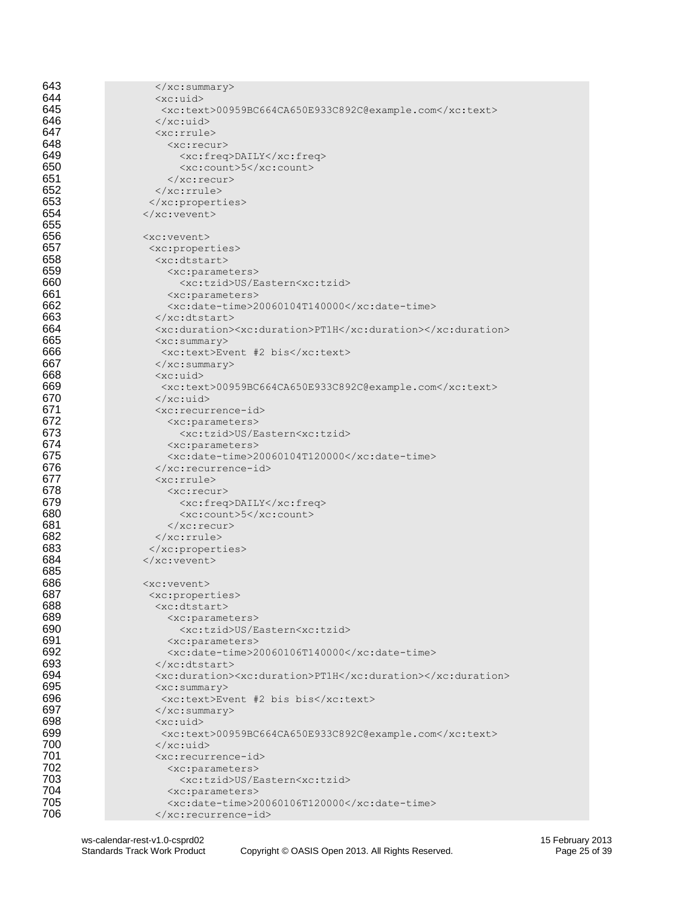| 643        | $\langle xc:summary\rangle$                                                          |
|------------|--------------------------------------------------------------------------------------|
| 644        | $\langle xc:uid\rangle$                                                              |
| 645        | <xc:text>00959BC664CA650E933C892C@example.com</xc:text>                              |
| 646        | $\langle x \rangle$ /xc:uid>                                                         |
| 647        | $<$ xc: rrule>                                                                       |
| 648        | $<$ xc:recur>                                                                        |
| 649        | <xc:freq>DAILY</xc:freq>                                                             |
| 650        | $\langle xc:count\rangle$ 5 $\langle xc:count\rangle$                                |
| 651        | $\langle xc:recur\rangle$                                                            |
| 652        | $\langle xc:rrule \rangle$                                                           |
| 653        |                                                                                      |
| 654        | $\langle xc: \text{vector}\rangle$                                                   |
| 655        |                                                                                      |
| 656        | $<$ xc: vevent>                                                                      |
| 657        | <xc:properties></xc:properties>                                                      |
| 658        | <xc:dtstart></xc:dtstart>                                                            |
| 659        | <xc:parameters></xc:parameters>                                                      |
| 660        | <xc:tzid>US/Eastern<xc:tzid></xc:tzid></xc:tzid>                                     |
| 661        | <xc:parameters></xc:parameters>                                                      |
| 662        | <xc:date-time>20060104T140000</xc:date-time>                                         |
| 663        | $\langle x \rangle$ /xc:dtstart>                                                     |
| 664        | <xc:duration><xc:duration>PT1H</xc:duration></xc:duration>                           |
| 665        | $\langle xc:summary\rangle$                                                          |
| 666        | <xc:text>Event #2 bis</xc:text>                                                      |
| 667        | $\langle xc:summary\rangle$                                                          |
| 668        | $\langle xc:uid\rangle$                                                              |
| 669        | <xc:text>00959BC664CA650E933C892C@example.com</xc:text>                              |
| 670        | $\langle x \rangle$ /xc:uid                                                          |
| 671<br>672 | <xc:recurrence-id></xc:recurrence-id>                                                |
| 673        | <xc:parameters><br/><xc:tzid>US/Eastern<xc:tzid></xc:tzid></xc:tzid></xc:parameters> |
| 674        |                                                                                      |
| 675        | <xc:parameters><br/><xc:date-time>20060104T120000</xc:date-time></xc:parameters>     |
| 676        | $\langle xc:recurrence-id\rangle$                                                    |
| 677        | $<$ xc: rrule>                                                                       |
| 678        | $<$ xc:recur>                                                                        |
| 679        | <xc:freq>DAILY</xc:freq>                                                             |
| 680        | $\langle xc:count\rangle$ 5 $\langle xc:count\rangle$                                |
| 681        | $\langle xc:recur\rangle$                                                            |
| 682        | $\langle xc:rrule \rangle$                                                           |
| 683        |                                                                                      |
| 684        | $\langle xc: \text{vector}\rangle$                                                   |
| 685        |                                                                                      |
| 686        | $<$ xc:vevent>                                                                       |
| 687        | <xc:properties></xc:properties>                                                      |
| 688        | <xc:dtstart></xc:dtstart>                                                            |
| 689        | <xc:parameters></xc:parameters>                                                      |
| 690        | <xc:tzid>US/Eastern<xc:tzid></xc:tzid></xc:tzid>                                     |
| 691        | <xc:parameters></xc:parameters>                                                      |
| 692        | <xc:date-time>20060106T140000</xc:date-time>                                         |
| 693        | $\langle x$ c:dtstart>                                                               |
| 694        | <xc:duration><xc:duration>PT1H</xc:duration></xc:duration>                           |
| 695        | $\langle xc:summary\rangle$                                                          |
| 696        | <xc:text>Event #2 bis bis</xc:text>                                                  |
| 697        | $\langle xc:summary\rangle$                                                          |
| 698        | $<$ xc:uid>                                                                          |
| 699        | <xc:text>00959BC664CA650E933C892C@example.com</xc:text>                              |
| 700        | $\langle x$ c:uid>                                                                   |
| 701        | <xc:recurrence-id></xc:recurrence-id>                                                |
| 702        | <xc:parameters></xc:parameters>                                                      |
| 703        | <xc:tzid>US/Eastern<xc:tzid></xc:tzid></xc:tzid>                                     |
| 704        | <xc:parameters></xc:parameters>                                                      |
| 705<br>706 | <xc:date-time>20060106T120000</xc:date-time>                                         |
|            |                                                                                      |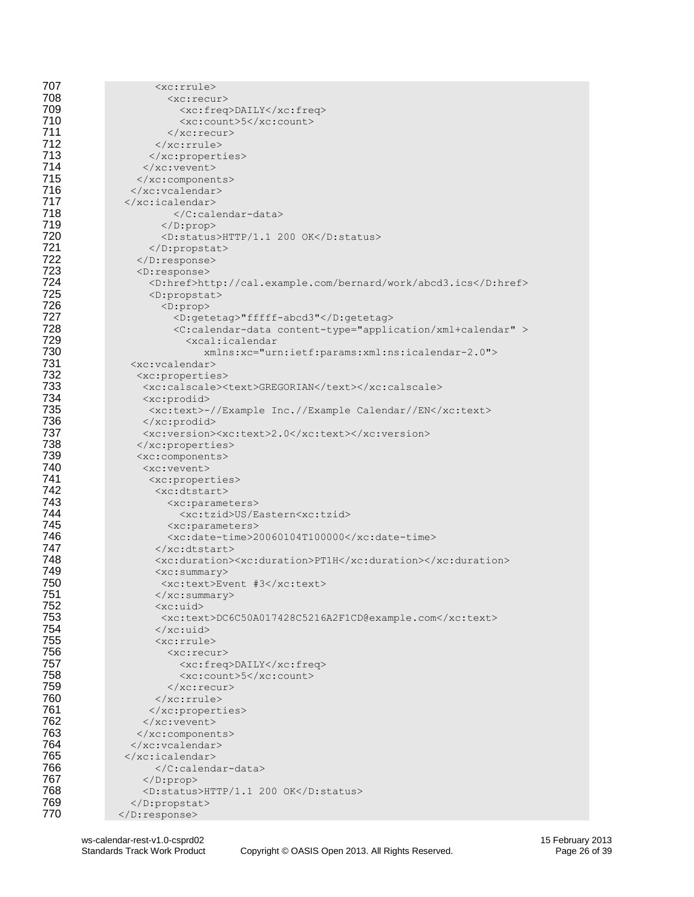| 707        | <xc:rrule></xc:rrule>                                                       |
|------------|-----------------------------------------------------------------------------|
| 708        | $<$ xc: recur>                                                              |
| 709        | <xc:freq>DAILY</xc:freq>                                                    |
| 710        | <xc:count>5</xc:count>                                                      |
| 711        | $\langle xc:recur\rangle$                                                   |
| 712        | $\langle xc:rrule \rangle$                                                  |
| 713        |                                                                             |
| 714        | $\langle xc: \text{vector}\rangle$                                          |
| 715        |                                                                             |
| 716        |                                                                             |
| 717        | $\langle x$ c:icalendar>                                                    |
| 718        |                                                                             |
| 719        |                                                                             |
| 720        | <d:status>HTTP/1.1 200 OK</d:status>                                        |
| 721        |                                                                             |
| 722        | $\langle$ /D:response>                                                      |
| 723        | $<$ D: response $>$                                                         |
| 724        | <d:href>http://cal.example.com/bernard/work/abcd3.ics</d:href>              |
| 725        | <d:propstat></d:propstat>                                                   |
| 726        | $<$ D:prop>                                                                 |
| 727        | <d:getetag>"fffff-abcd3"</d:getetag>                                        |
| 728        | <c:calendar-data content-type="application/xml+calendar"></c:calendar-data> |
| 729        | <xcal:icalendar< th=""></xcal:icalendar<>                                   |
| 730        | xmlns:xc="urn:ietf:params:xml:ns:icalendar-2.0">                            |
| 731        | <xc:vcalendar></xc:vcalendar>                                               |
| 732        | <xc:properties></xc:properties>                                             |
| 733        | <xc:calscale><text>GREGORIAN</text></xc:calscale>                           |
| 734        | $<$ xc:prodid>                                                              |
| 735        | <xc:text>-//Example Inc.//Example Calendar//EN</xc:text>                    |
| 736        | $\langle xc: \text{product}\rangle$                                         |
| 737        | <xc:version><xc:text>2.0</xc:text></xc:version>                             |
| 738        |                                                                             |
| 739        | <xc:components></xc:components>                                             |
| 740        | <xc:vevent></xc:vevent>                                                     |
| 741        | <xc:properties></xc:properties>                                             |
| 742        | <xc:dtstart></xc:dtstart>                                                   |
| 743        | <xc:parameters></xc:parameters>                                             |
| 744        | <xc:tzid>US/Eastern<xc:tzid></xc:tzid></xc:tzid>                            |
| 745        | <xc:parameters></xc:parameters>                                             |
| 746        | <xc:date-time>20060104T100000</xc:date-time>                                |
| 747<br>748 | $\langle x \rangle$ /xc:dtstart>                                            |
| 749        | <xc:duration><xc:duration>PT1H</xc:duration></xc:duration>                  |
| 750        | $\langle xc:summarv\rangle$<br><xc:text>Event #3</xc:text>                  |
| 751        |                                                                             |
| 752        | <br>$\langle xc:uid\rangle$                                                 |
| 753        | <xc:text>DC6C50A017428C5216A2F1CD@example.com</xc:text>                     |
| 754        | $\langle x \rangle$ xc:uid                                                  |
| 755        | <xc:rrule></xc:rrule>                                                       |
| 756        | <xc:recur></xc:recur>                                                       |
| 757        | <xc:freq>DAILY</xc:freq>                                                    |
| 758        | <xc:count>5</xc:count>                                                      |
| 759        | $\langle xc:recur\rangle$                                                   |
| 760        | $\langle xc:rrule \rangle$                                                  |
| 761        |                                                                             |
| 762        |                                                                             |
| 763        |                                                                             |
| 764        |                                                                             |
| 765        |                                                                             |
| 766        |                                                                             |
| 767        |                                                                             |
| 768        | <d:status>HTTP/1.1 200 OK</d:status>                                        |
| 769        |                                                                             |
| 770        | $\langle$ D:response>                                                       |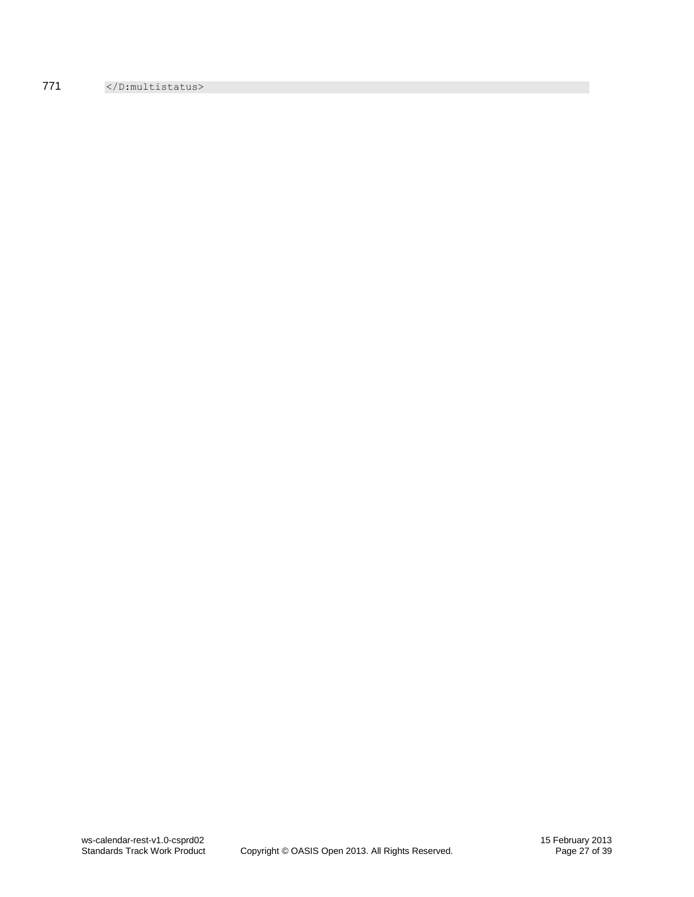771 </D:multistatus>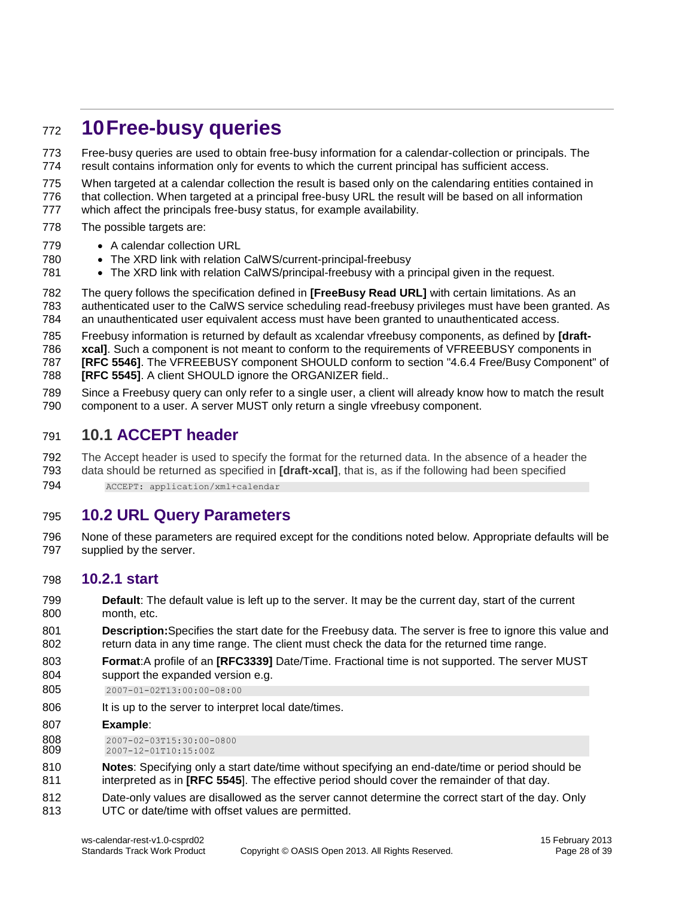# <span id="page-27-0"></span>**10Free-busy queries**

 Free-busy queries are used to obtain free-busy information for a calendar-collection or principals. The result contains information only for events to which the current principal has sufficient access.

 When targeted at a calendar collection the result is based only on the calendaring entities contained in that collection. When targeted at a principal free-busy URL the result will be based on all information

777 which affect the principals free-busy status, for example availability.

- 778 The possible targets are:
- 779 A calendar collection URL
- 780 The XRD link with relation CalWS/current-principal-freebusy
- 781 The XRD link with relation CalWS/principal-freebusy with a principal given in the request.
- The query follows the specification defined in **[FreeBusy Read URL]** with certain limitations. As an authenticated user to the CalWS service scheduling read-freebusy privileges must have been granted. As an unauthenticated user equivalent access must have been granted to unauthenticated access.
- Freebusy information is returned by default as xcalendar vfreebusy components, as defined by **[draft-**

**xcal]**. Such a component is not meant to conform to the requirements of VFREEBUSY components in

**[RFC 5546]**. The VFREEBUSY component SHOULD conform to section "4.6.4 Free/Busy Component" of

- **[RFC 5545]**. A client SHOULD ignore the ORGANIZER field..
- Since a Freebusy query can only refer to a single user, a client will already know how to match the result component to a user. A server MUST only return a single vfreebusy component.

#### <span id="page-27-1"></span>**10.1 ACCEPT header**

The Accept header is used to specify the format for the returned data. In the absence of a header the

 data should be returned as specified in **[draft-xcal]**, that is, as if the following had been specified 794 ACCEPT: application/xml+calendar

#### <span id="page-27-2"></span>**10.2 URL Query Parameters**

 None of these parameters are required except for the conditions noted below. Appropriate defaults will be supplied by the server.

#### <span id="page-27-3"></span>**10.2.1 start**

- **Default**: The default value is left up to the server. It may be the current day, start of the current month, etc.
- **Description:**Specifies the start date for the Freebusy data. The server is free to ignore this value and return data in any time range. The client must check the data for the returned time range.
- **Format**:A profile of an **[RFC3339]** Date/Time. Fractional time is not supported. The server MUST support the expanded version e.g.
- 2007-01-02T13:00:00-08:00
- 806 It is up to the server to interpret local date/times.
- **Example**:
- 808 2007-02-03T15:30:00-0800<br>809 2007-12-01T10:15:00Z
- 2007-12-01T10:15:00Z
- **Notes**: Specifying only a start date/time without specifying an end-date/time or period should be interpreted as in **[RFC 5545**]. The effective period should cover the remainder of that day.
- Date-only values are disallowed as the server cannot determine the correct start of the day. Only UTC or date/time with offset values are permitted.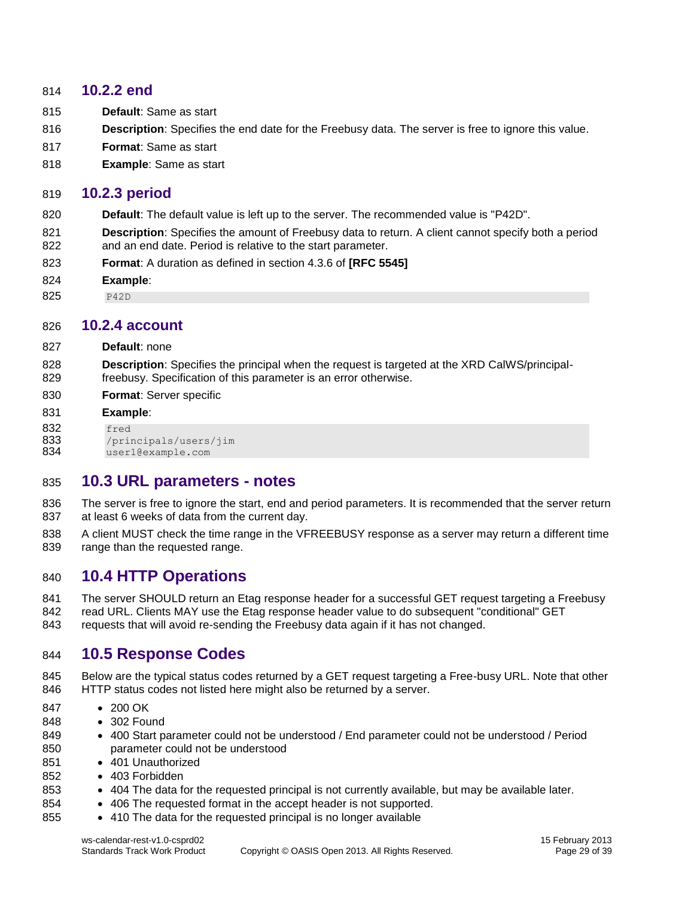#### <span id="page-28-0"></span>**10.2.2 end**

- **Default**: Same as start
- **Description**: Specifies the end date for the Freebusy data. The server is free to ignore this value.
- **Format**: Same as start
- **Example**: Same as start

#### <span id="page-28-1"></span>**10.2.3 period**

- **Default**: The default value is left up to the server. The recommended value is "P42D".
- **Description**: Specifies the amount of Freebusy data to return. A client cannot specify both a period and an end date. Period is relative to the start parameter.
- **Format**: A duration as defined in section 4.3.6 of **[RFC 5545]**
- **Example**:
- <span id="page-28-2"></span>825 P42D

#### **10.2.4 account**

- **Default**: none
- **Description**: Specifies the principal when the request is targeted at the XRD CalWS/principal-freebusy. Specification of this parameter is an error otherwise.
- **Format**: Server specific

#### **Example**:

- **832** fred<br>**833** /prii
- /principals/users/jim
- <span id="page-28-3"></span>user1@example.com

#### **10.3 URL parameters - notes**

- The server is free to ignore the start, end and period parameters. It is recommended that the server return at least 6 weeks of data from the current day.
- A client MUST check the time range in the VFREEBUSY response as a server may return a different time 839 range than the requested range.

#### <span id="page-28-4"></span>**10.4 HTTP Operations**

841 The server SHOULD return an Etag response header for a successful GET request targeting a Freebusy 842 read URL. Clients MAY use the Etag response header value to do subsequent "conditional" GET requests that will avoid re-sending the Freebusy data again if it has not changed.

#### <span id="page-28-5"></span>**10.5 Response Codes**

- 845 Below are the typical status codes returned by a GET request targeting a Free-busy URL. Note that other HTTP status codes not listed here might also be returned by a server.
- 847 200 OK
- 848 302 Found
- 849 400 Start parameter could not be understood / End parameter could not be understood / Period parameter could not be understood
- 851 401 Unauthorized
- 852 · 403 Forbidden
- **•** 404 The data for the requested principal is not currently available, but may be available later.
- 854 406 The requested format in the accept header is not supported.
- 855 410 The data for the requested principal is no longer available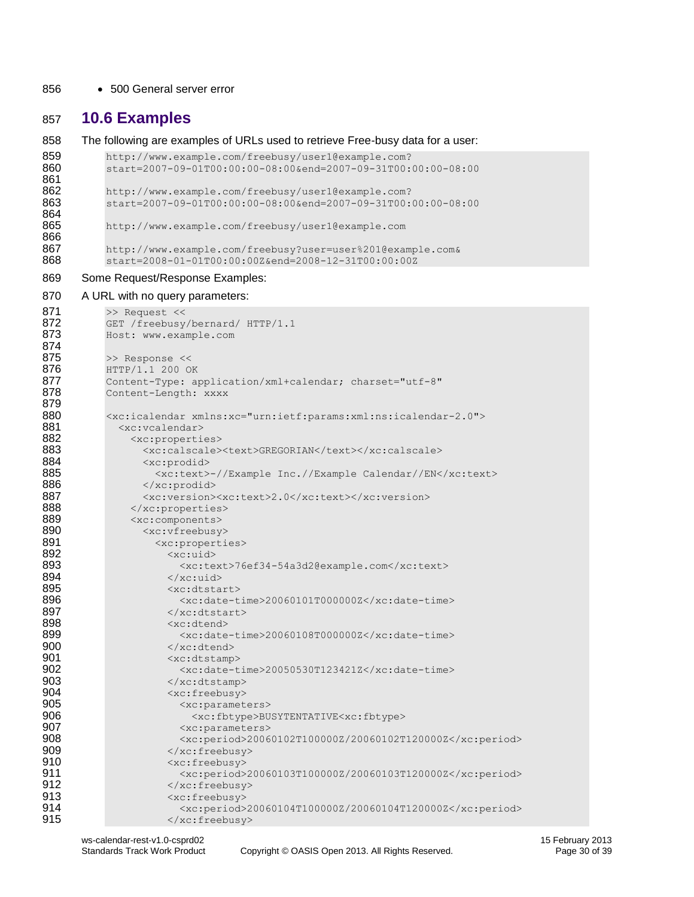#### 856 • 500 General server error

#### <span id="page-29-0"></span>857 **10.6 Examples**

858 The following are examples of URLs used to retrieve Free-busy data for a user: 859 http://www.example.com/freebusy/user1@example.com?<br>860 start=2007-09-01T00:00:00-08:00&end=2007-09-31T00: 860 start=2007-09-01T00:00:00-08:00&end=2007-09-31T00:00:00-08:00 861 862 http://www.example.com/freebusy/user1@example.com? 863 start=2007-09-01T00:00:00-08:00&end=2007-09-31T00:00:00-08:00 864 865 http://www.example.com/freebusy/user1@example.com 866 867 http://www.example.com/freebusy?user=user%201@example.com&<br>868 start=2008-01-01T00:00:00Z&end=2008-12-31T00:00:00Z 868 start=2008-01-01T00:00:00Z&end=2008-12-31T00:00:00Z 869 Some Request/Response Examples: 870 A URL with no query parameters: 871 >> Request <<<br>872 GET / freebusy 872 GET /freebusy/bernard/ HTTP/1.1<br>873 Host: www.example.com 873 Host: www.example.com 874 875 >> Response << **876** HTTP/1.1 200 OK<br>**877** Content-Type: ap 877 Content-Type: application/xml+calendar; charset="utf-8" Content-Length: xxxx 879 880 <xc:icalendar xmlns:xc="urn:ietf:params:xml:ns:icalendar-2.0"> 881 <xc:vcalendar> 882 <xc:properties><br>883 <xc:calscale> 883 <xc:calscale><text>GREGORIAN</text></xc:calscale><br>884 <xc:prodid> 884 <xc:prodid> 885 <xc:text>-//Example Inc.//Example Calendar//EN</xc:text><br>886 </xc:prodid> </xc:prodid> 887 <xc:version><xc:text>2.0</xc:text></xc:version> 888 </xc:properties> 889 <xc:components> 890 <xc:vfreebusy><br>891 <xc:properti 891 <xc:properties> 892 <xc:uid> 893 <xc:text>76ef34-54a3d2@example.com</xc:text> 894 </xc:uid><br>895 </xc:uid>  $< x<sub>c</sub> \cdot d$ tstart $>$ 896  $\langle \text{xc:date-time}> 20060101 \text{T}000000 \text{Z} \times \langle \text{xc:date-time}} \rangle$ 897 </xc:dtstart><br>898 </xc:dtend> 898 <xc:dtend> 899 <xc:date-time>20060108T000000Z</xc:date-time> </xc:dtend> 901 <xc:dtstamp> 902 <br>
<xc:date-time>20050530T123421Z</xc:date-time><br>
903 <br>
</xc:dtstamp> 903 </xc:dtstamp> 904 <xc:freebusy><br>905 <xc:paramet 905 <xc:parameters><br>906 <xc:fbtype>BU 906  $\langle \text{xc:fbtype}\rangle$ BUSYTENTATIVE $\langle \text{xc:parameters}\rangle$ 907 <xc:parameters> 908 <xc:period>20060102T100000Z/20060102T120000Z</xc:period> 909 </xc:freebusy> 910  $\langle xc:freebusy\rangle$ 911  $\langle x \cdot \text{period} \rangle 20060103T100000Z/20060103T120000Z/\text{xc:period} \rangle$ <br>912  $\langle x \cdot \text{freebusy} \rangle$ 912 </xc:freebusy> <xc:freebusy> 914  $\langle \text{xc:period} \rangle$ 20060104T100000Z/20060104T120000Z</xc:period><br>915  $\langle \text{xc:freebusv} \rangle$ 915 </xc:freebusy>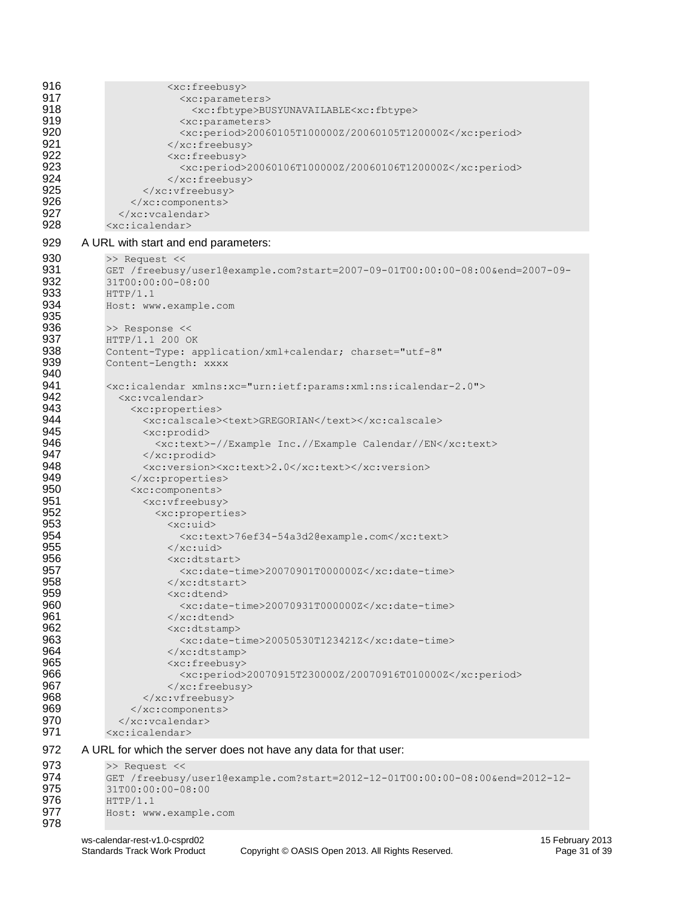| 916<br>917<br>918<br>919<br>920<br>921<br>922<br>923<br>924<br>925<br>926<br>927<br>928 | <xc:freebusy><br/><xc:parameters><br/><xc:fbtype>BUSYUNAVAILABLE<xc:fbtype><br/><xc:parameters><br/><xc:period>20060105T100000Z/20060105T120000Z</xc:period><br/><math>\langle xc:freebusy \rangle</math><br/><xc:freebusy><br/><xc:period>20060106T100000Z/20060106T120000Z</xc:period><br/></xc:freebusy><br/><br/><br/><math>\langle xc:vcalendar\rangle</math><br/><xc:icalendar></xc:icalendar></xc:parameters></xc:fbtype></xc:fbtype></xc:parameters></xc:freebusy> |
|-----------------------------------------------------------------------------------------|----------------------------------------------------------------------------------------------------------------------------------------------------------------------------------------------------------------------------------------------------------------------------------------------------------------------------------------------------------------------------------------------------------------------------------------------------------------------------|
| 929                                                                                     | A URL with start and end parameters:                                                                                                                                                                                                                                                                                                                                                                                                                                       |
| 930<br>931<br>932<br>933<br>934<br>935<br>936<br>937<br>938<br>939                      | >> Request <<<br>GET /freebusy/user1@example.com?start=2007-09-01T00:00:00-08:00&end=2007-09-<br>31T00:00:00-08:00<br>HTTP/1.1<br>Host: www.example.com<br>>> Response <<<br>HTTP/1.1 200 OK<br>Content-Type: application/xml+calendar; charset="utf-8"<br>Content-Length: XXXX                                                                                                                                                                                            |
| 940<br>941<br>942<br>943<br>944<br>945<br>946<br>947<br>948<br>949                      | <xc:icalendar xmlns:xc="urn:ietf:params:xml:ns:icalendar-2.0"><br/><xc:vcalendar><br/><xc:properties><br/><xc:calscale><text>GREGORIAN</text></xc:calscale><br/><xc:prodid><br/><xc:text>-//Example Inc.//Example Calendar//EN</xc:text><br/></xc:prodid><br/><xc:version><xc:text>2.0</xc:text></xc:version></xc:properties></xc:vcalendar></xc:icalendar>                                                                                                                |
| 950<br>951<br>952<br>953<br>954<br>955<br>956<br>957<br>958<br>959                      | <br><xc:components><br/><xc:vfreebusy><br/><xc:properties><br/><xc:uid><br/><xc:text>76ef34-54a3d2@example.com</xc:text><br/><math>\langle x \rangle</math> /xc:uid<br/><math>&lt;</math>xc:dtstart&gt;<br/><math>\langle xc:date-time&gt;20070901T000000Z &lt; \langle xc:date-time&gt;</math><br/><br/><xc:dtend></xc:dtend></xc:uid></xc:properties></xc:vfreebusy></xc:components>                                                                                     |
| 960<br>961<br>962<br>963<br>964<br>965<br>966<br>967<br>968<br>969<br>970<br>971        | <xc:date-time>20070931T000000Z</xc:date-time><br>$\langle x \rangle$ /xc: dtend><br><xc:dtstamp><br/><xc:date-time>20050530T123421Z</xc:date-time><br/><math>\langle x \rangle</math> /xc:dtstamp&gt;<br/><xc:freebusy><br/><xc:period>20070915T230000Z/20070916T010000Z</xc:period><br/></xc:freebusy><br/><br/><br/><br/><math>\langle xc:icalendar\rangle</math></xc:dtstamp>                                                                                           |
| 972                                                                                     | A URL for which the server does not have any data for that user:                                                                                                                                                                                                                                                                                                                                                                                                           |
| 973<br>974<br>975<br>976<br>977                                                         | >> Request <<<br>GET /freebusy/user1@example.com?start=2012-12-01T00:00:00-08:00&end=2012-12-<br>31T00:00:00-08:00<br>HTTP/1.1<br>Host: www.example.com                                                                                                                                                                                                                                                                                                                    |

978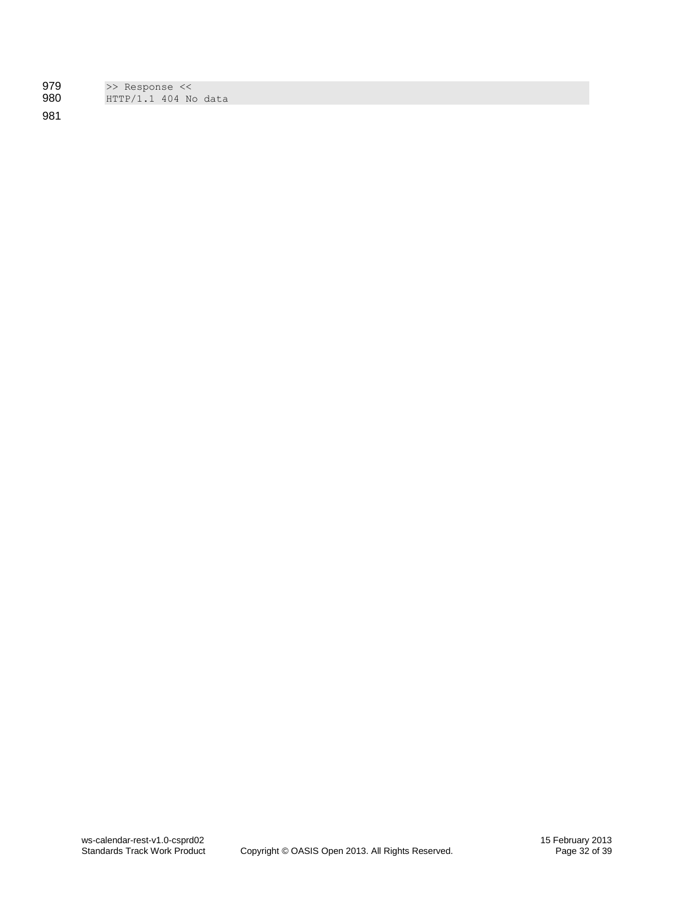| 979 | >> Response <<       |  |
|-----|----------------------|--|
| 980 | HTTP/1.1 404 No data |  |

981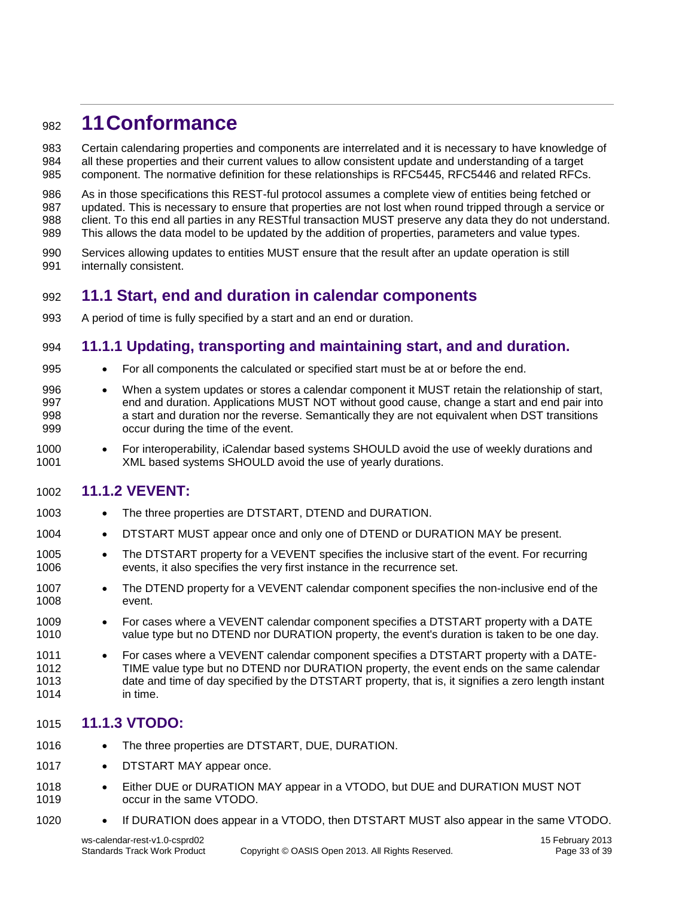## <span id="page-32-0"></span>**11Conformance**

 Certain calendaring properties and components are interrelated and it is necessary to have knowledge of all these properties and their current values to allow consistent update and understanding of a target component. The normative definition for these relationships is RFC5445, RFC5446 and related RFCs.

 As in those specifications this REST-ful protocol assumes a complete view of entities being fetched or updated. This is necessary to ensure that properties are not lost when round tripped through a service or client. To this end all parties in any RESTful transaction MUST preserve any data they do not understand. This allows the data model to be updated by the addition of properties, parameters and value types.

 Services allowing updates to entities MUST ensure that the result after an update operation is still internally consistent.

#### <span id="page-32-1"></span>**11.1 Start, end and duration in calendar components**

A period of time is fully specified by a start and an end or duration.

#### <span id="page-32-2"></span>**11.1.1 Updating, transporting and maintaining start, and and duration.**

- 
- For all components the calculated or specified start must be at or before the end.
- When a system updates or stores a calendar component it MUST retain the relationship of start, end and duration. Applications MUST NOT without good cause, change a start and end pair into a start and duration nor the reverse. Semantically they are not equivalent when DST transitions occur during the time of the event.
- 1000 For interoperability, iCalendar based systems SHOULD avoid the use of weekly durations and<br>1001 MIL based systems SHOULD avoid the use of yearly durations. XML based systems SHOULD avoid the use of yearly durations.

#### <span id="page-32-3"></span>**11.1.2 VEVENT:**

- 1003 The three properties are DTSTART, DTEND and DURATION.
- 1004 DTSTART MUST appear once and only one of DTEND or DURATION MAY be present.
- 1005 The DTSTART property for a VEVENT specifies the inclusive start of the event. For recurring events, it also specifies the very first instance in the recurrence set.
- 1007 The DTEND property for a VEVENT calendar component specifies the non-inclusive end of the event.
- 1009 For cases where a VEVENT calendar component specifies a DTSTART property with a DATE value type but no DTEND nor DURATION property, the event's duration is taken to be one day.
- 1011 For cases where a VEVENT calendar component specifies a DTSTART property with a DATE- TIME value type but no DTEND nor DURATION property, the event ends on the same calendar date and time of day specified by the DTSTART property, that is, it signifies a zero length instant in time.

#### <span id="page-32-4"></span>**11.1.3 VTODO:**

- 1016 The three properties are DTSTART, DUE, DURATION.
- 1017 DTSTART MAY appear once.
- 1018 Either DUE or DURATION MAY appear in a VTODO, but DUE and DURATION MUST NOT occur in the same VTODO.
- 1020 If DURATION does appear in a VTODO, then DTSTART MUST also appear in the same VTODO.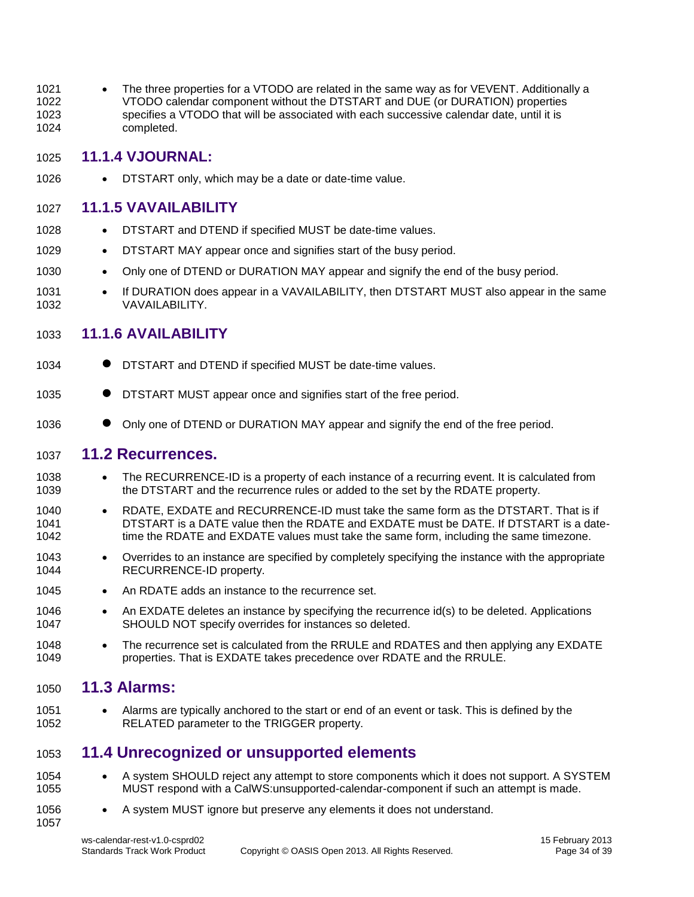1021 • The three properties for a VTODO are related in the same way as for VEVENT. Additionally a 1022 VTODO calendar component without the DTSTART and DUE (or DURATION) properties 1023 specifies a VTODO that will be associated with each successive calendar date, until it is 1024 completed.

#### <span id="page-33-0"></span>1025 **11.1.4 VJOURNAL:**

1026 • DTSTART only, which may be a date or date-time value.

#### <span id="page-33-1"></span>1027 **11.1.5 VAVAILABILITY**

- 1028 DTSTART and DTEND if specified MUST be date-time values.
- 1029 DTSTART MAY appear once and signifies start of the busy period.
- 1030 Only one of DTEND or DURATION MAY appear and signify the end of the busy period.
- 1031 If DURATION does appear in a VAVAILABILITY, then DTSTART MUST also appear in the same 1032 VAVAILABILITY.

#### <span id="page-33-2"></span>1033 **11.1.6 AVAILABILITY**

- 1034 **•• DISTART** and DTEND if specified MUST be date-time values.
- 1035 **•• DISTART MUST** appear once and signifies start of the free period.
- 1036 •• Only one of DTEND or DURATION MAY appear and signify the end of the free period.

#### <span id="page-33-3"></span>1037 **11.2 Recurrences.**

- 1038 The RECURRENCE-ID is a property of each instance of a recurring event. It is calculated from 1039 the DTSTART and the recurrence rules or added to the set by the RDATE property.
- 1040 RDATE, EXDATE and RECURRENCE-ID must take the same form as the DTSTART. That is if 1041 DTSTART is a DATE value then the RDATE and EXDATE must be DATE. If DTSTART is a date-1042 time the RDATE and EXDATE values must take the same form, including the same timezone.
- 1043 Overrides to an instance are specified by completely specifying the instance with the appropriate 1044 RECURRENCE-ID property.
- 1045 An RDATE adds an instance to the recurrence set.
- 1046 An EXDATE deletes an instance by specifying the recurrence id(s) to be deleted. Applications 1047 SHOULD NOT specify overrides for instances so deleted.
- 1048 The recurrence set is calculated from the RRULE and RDATES and then applying any EXDATE 1049 properties. That is EXDATE takes precedence over RDATE and the RRULE.

#### <span id="page-33-4"></span>1050 **11.3 Alarms:**

1051 • Alarms are typically anchored to the start or end of an event or task. This is defined by the 1052 RELATED parameter to the TRIGGER property.

#### <span id="page-33-5"></span>1053 **11.4 Unrecognized or unsupported elements**

- 1054 A system SHOULD reject any attempt to store components which it does not support. A SYSTEM 1055 MUST respond with a CalWS:unsupported-calendar-component if such an attempt is made.
- 1056 A system MUST ignore but preserve any elements it does not understand. 1057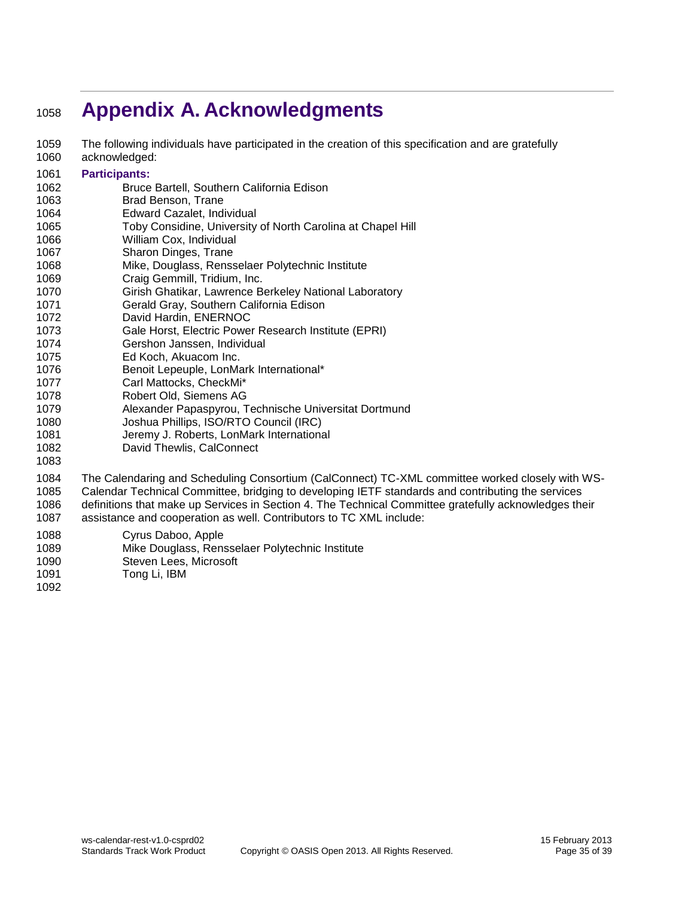# <span id="page-34-0"></span>**Appendix A. Acknowledgments**

- The following individuals have participated in the creation of this specification and are gratefully acknowledged:
- **Participants:**
- Bruce Bartell, Southern California Edison
- Brad Benson, Trane
- Edward Cazalet, Individual
- Toby Considine, University of North Carolina at Chapel Hill
- William Cox, Individual
- Sharon Dinges, Trane
- Mike, Douglass, Rensselaer Polytechnic Institute
- Craig Gemmill, Tridium, Inc.
- Girish Ghatikar, Lawrence Berkeley National Laboratory
- Gerald Gray, Southern California Edison
- David Hardin, ENERNOC
- Gale Horst, Electric Power Research Institute (EPRI)
- Gershon Janssen, Individual
- Ed Koch, Akuacom Inc.
- Benoit Lepeuple, LonMark International\*
- Carl Mattocks, CheckMi\*
- Robert Old, Siemens AG
- Alexander Papaspyrou, Technische Universitat Dortmund
- Joshua Phillips, ISO/RTO Council (IRC)
- Jeremy J. Roberts, LonMark International
- David Thewlis, CalConnect
- The Calendaring and Scheduling Consortium (CalConnect) TC-XML committee worked closely with WS- Calendar Technical Committee, bridging to developing IETF standards and contributing the services definitions that make up Services in Section 4. The Technical Committee gratefully acknowledges their assistance and cooperation as well. Contributors to TC XML include:
- Cyrus Daboo, Apple
- Mike Douglass, Rensselaer Polytechnic Institute
- Steven Lees, Microsoft
- Tong Li, IBM
-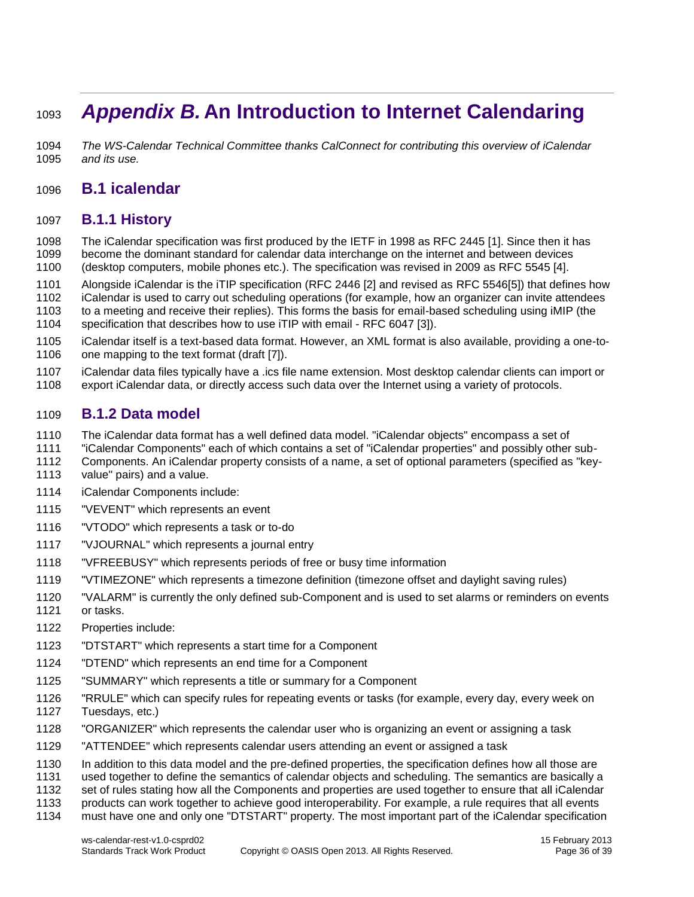# <span id="page-35-0"></span>*Appendix B.* **An Introduction to Internet Calendaring**

 *The WS-Calendar Technical Committee thanks CalConnect for contributing this overview of iCalendar and its use.*

#### <span id="page-35-1"></span>**B.1 icalendar**

#### <span id="page-35-2"></span>**B.1.1 History**

 The iCalendar specification was first produced by the IETF in 1998 as RFC 2445 [1]. Since then it has become the dominant standard for calendar data interchange on the internet and between devices (desktop computers, mobile phones etc.). The specification was revised in 2009 as RFC 5545 [4].

Alongside iCalendar is the iTIP specification (RFC 2446 [2] and revised as RFC 5546[5]) that defines how

iCalendar is used to carry out scheduling operations (for example, how an organizer can invite attendees

to a meeting and receive their replies). This forms the basis for email-based scheduling using iMIP (the

specification that describes how to use iTIP with email - RFC 6047 [3]).

1105 iCalendar itself is a text-based data format. However, an XML format is also available, providing a one-to-<br>1106 one mapping to the text format (draft [7]). one mapping to the text format (draft [7]).

iCalendar data files typically have a .ics file name extension. Most desktop calendar clients can import or

export iCalendar data, or directly access such data over the Internet using a variety of protocols.

#### <span id="page-35-3"></span>**B.1.2 Data model**

The iCalendar data format has a well defined data model. "iCalendar objects" encompass a set of

"iCalendar Components" each of which contains a set of "iCalendar properties" and possibly other sub-

Components. An iCalendar property consists of a name, a set of optional parameters (specified as "key-

- value" pairs) and a value.
- iCalendar Components include:
- "VEVENT" which represents an event
- "VTODO" which represents a task or to-do
- "VJOURNAL" which represents a journal entry
- "VFREEBUSY" which represents periods of free or busy time information
- "VTIMEZONE" which represents a timezone definition (timezone offset and daylight saving rules)
- "VALARM" is currently the only defined sub-Component and is used to set alarms or reminders on events or tasks.
- Properties include:
- "DTSTART" which represents a start time for a Component
- "DTEND" which represents an end time for a Component
- "SUMMARY" which represents a title or summary for a Component
- "RRULE" which can specify rules for repeating events or tasks (for example, every day, every week on Tuesdays, etc.)
- "ORGANIZER" which represents the calendar user who is organizing an event or assigning a task
- "ATTENDEE" which represents calendar users attending an event or assigned a task
- In addition to this data model and the pre-defined properties, the specification defines how all those are
- used together to define the semantics of calendar objects and scheduling. The semantics are basically a
- 1132 set of rules stating how all the Components and properties are used together to ensure that all iCalendar<br>1133 products can work together to achieve good interoperability. For example, a rule reguires that all events
- products can work together to achieve good interoperability. For example, a rule requires that all events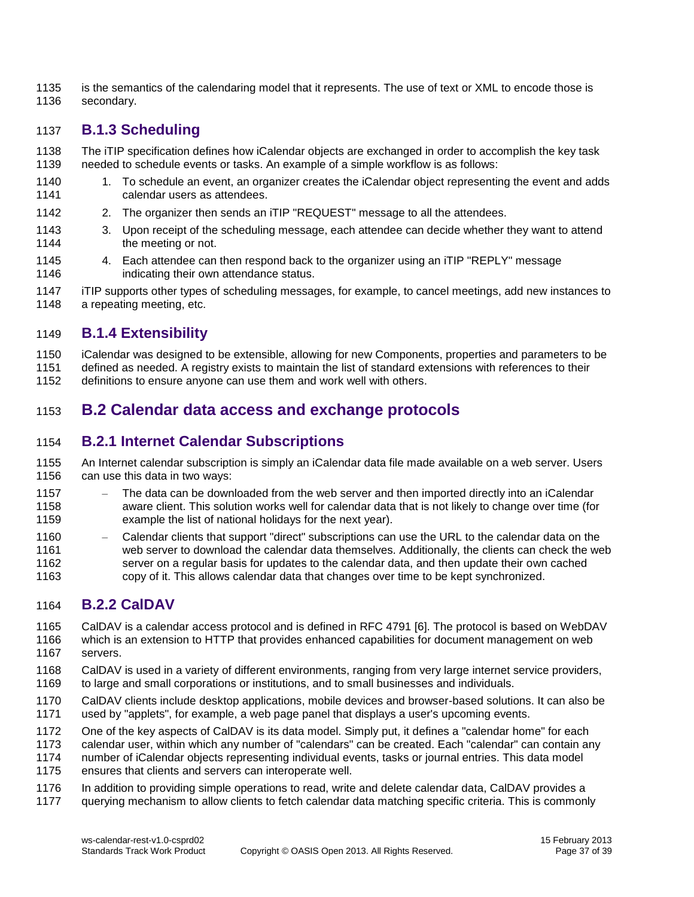1135 is the semantics of the calendaring model that it represents. The use of text or XML to encode those is secondary.

#### <span id="page-36-0"></span>**B.1.3 Scheduling**

- The iTIP specification defines how iCalendar objects are exchanged in order to accomplish the key task needed to schedule events or tasks. An example of a simple workflow is as follows:
- 1. To schedule an event, an organizer creates the iCalendar object representing the event and adds calendar users as attendees.
- 2. The organizer then sends an iTIP "REQUEST" message to all the attendees.
- 3. Upon receipt of the scheduling message, each attendee can decide whether they want to attend 1144 the meeting or not.
- 1145 4. Each attendee can then respond back to the organizer using an iTIP "REPLY" message<br>1146 **1146 indicating their own attendance status**. indicating their own attendance status.
- iTIP supports other types of scheduling messages, for example, to cancel meetings, add new instances to 1148 a repeating meeting, etc.

#### <span id="page-36-1"></span>**B.1.4 Extensibility**

iCalendar was designed to be extensible, allowing for new Components, properties and parameters to be

- defined as needed. A registry exists to maintain the list of standard extensions with references to their
- definitions to ensure anyone can use them and work well with others.

#### <span id="page-36-2"></span>**B.2 Calendar data access and exchange protocols**

#### <span id="page-36-3"></span>**B.2.1 Internet Calendar Subscriptions**

- An Internet calendar subscription is simply an iCalendar data file made available on a web server. Users can use this data in two ways:
- The data can be downloaded from the web server and then imported directly into an iCalendar aware client. This solution works well for calendar data that is not likely to change over time (for example the list of national holidays for the next year).
- Calendar clients that support "direct" subscriptions can use the URL to the calendar data on the web server to download the calendar data themselves. Additionally, the clients can check the web server on a regular basis for updates to the calendar data, and then update their own cached copy of it. This allows calendar data that changes over time to be kept synchronized.

#### <span id="page-36-4"></span>**B.2.2 CalDAV**

- CalDAV is a calendar access protocol and is defined in RFC 4791 [6]. The protocol is based on WebDAV which is an extension to HTTP that provides enhanced capabilities for document management on web
- servers.
- CalDAV is used in a variety of different environments, ranging from very large internet service providers, to large and small corporations or institutions, and to small businesses and individuals.
- CalDAV clients include desktop applications, mobile devices and browser-based solutions. It can also be used by "applets", for example, a web page panel that displays a user's upcoming events.
- One of the key aspects of CalDAV is its data model. Simply put, it defines a "calendar home" for each
- calendar user, within which any number of "calendars" can be created. Each "calendar" can contain any
- number of iCalendar objects representing individual events, tasks or journal entries. This data model
- ensures that clients and servers can interoperate well.
- In addition to providing simple operations to read, write and delete calendar data, CalDAV provides a
- querying mechanism to allow clients to fetch calendar data matching specific criteria. This is commonly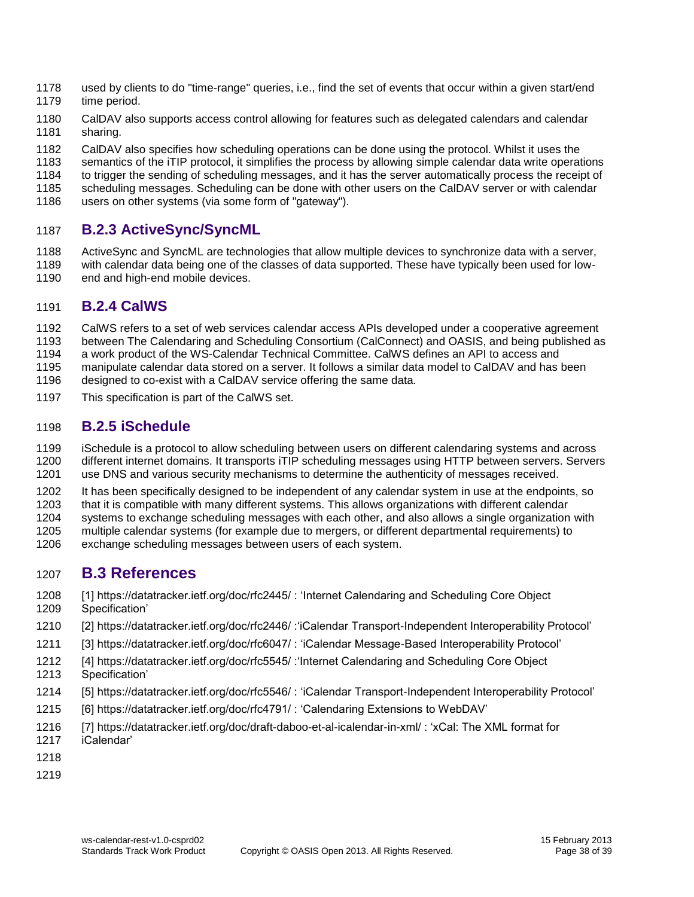- used by clients to do "time-range" queries, i.e., find the set of events that occur within a given start/end time period.
- CalDAV also supports access control allowing for features such as delegated calendars and calendar sharing.
- CalDAV also specifies how scheduling operations can be done using the protocol. Whilst it uses the
- 
- 1183 semantics of the iTIP protocol, it simplifies the process by allowing simple calendar data write operations<br>1184 to trigger the sending of scheduling messages, and it has the server automatically process the receipt o to trigger the sending of scheduling messages, and it has the server automatically process the receipt of
- scheduling messages. Scheduling can be done with other users on the CalDAV server or with calendar
- users on other systems (via some form of "gateway").

#### <span id="page-37-0"></span>**B.2.3 ActiveSync/SyncML**

 ActiveSync and SyncML are technologies that allow multiple devices to synchronize data with a server, with calendar data being one of the classes of data supported. These have typically been used for low-1190 end and high-end mobile devices.

#### <span id="page-37-1"></span>**B.2.4 CalWS**

- CalWS refers to a set of web services calendar access APIs developed under a cooperative agreement
- between The Calendaring and Scheduling Consortium (CalConnect) and OASIS, and being published as
- a work product of the WS-Calendar Technical Committee. CalWS defines an API to access and
- manipulate calendar data stored on a server. It follows a similar data model to CalDAV and has been
- designed to co-exist with a CalDAV service offering the same data.
- This specification is part of the CalWS set.

#### <span id="page-37-2"></span>**B.2.5 iSchedule**

- iSchedule is a protocol to allow scheduling between users on different calendaring systems and across different internet domains. It transports iTIP scheduling messages using HTTP between servers. Servers use DNS and various security mechanisms to determine the authenticity of messages received.
- It has been specifically designed to be independent of any calendar system in use at the endpoints, so
- that it is compatible with many different systems. This allows organizations with different calendar
- systems to exchange scheduling messages with each other, and also allows a single organization with
- multiple calendar systems (for example due to mergers, or different departmental requirements) to
- exchange scheduling messages between users of each system.

#### <span id="page-37-3"></span>**B.3 References**

- [1] https://datatracker.ietf.org/doc/rfc2445/ : 'Internet Calendaring and Scheduling Core Object Specification'
- [2] https://datatracker.ietf.org/doc/rfc2446/ :'iCalendar Transport-Independent Interoperability Protocol'
- [3] https://datatracker.ietf.org/doc/rfc6047/ : 'iCalendar Message-Based Interoperability Protocol'
- [4] https://datatracker.ietf.org/doc/rfc5545/ :'Internet Calendaring and Scheduling Core Object Specification'
- [5] https://datatracker.ietf.org/doc/rfc5546/ : 'iCalendar Transport-Independent Interoperability Protocol'
- [6] https://datatracker.ietf.org/doc/rfc4791/ : 'Calendaring Extensions to WebDAV'
- [7] https://datatracker.ietf.org/doc/draft-daboo-et-al-icalendar-in-xml/ : 'xCal: The XML format for iCalendar'
- 
- 
-